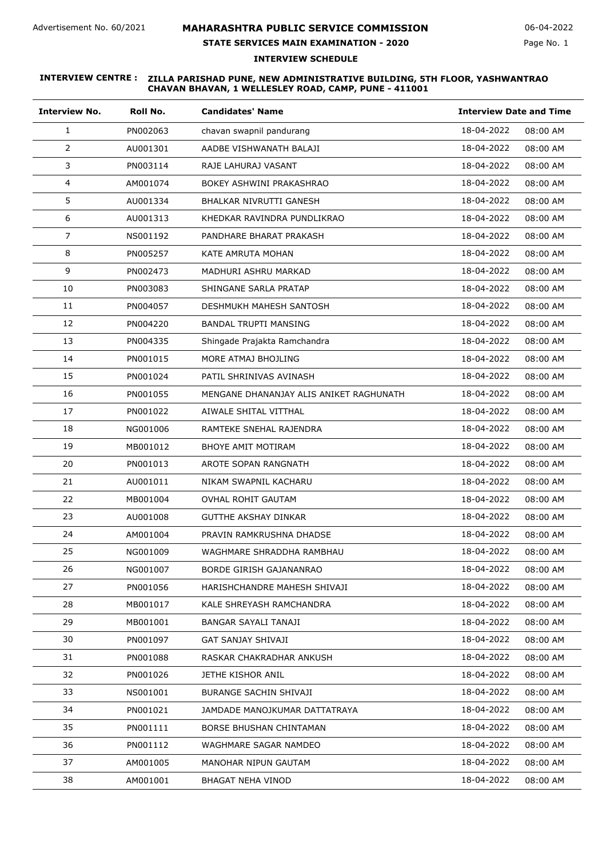# **STATE SERVICES MAIN EXAMINATION - 2020**

Page No. 1

## **INTERVIEW SCHEDULE**

| <b>Interview No.</b> | Roll No. | <b>Candidates' Name</b>                 | <b>Interview Date and Time</b> |          |
|----------------------|----------|-----------------------------------------|--------------------------------|----------|
| $\mathbf{1}$         | PN002063 | chavan swapnil pandurang                | 18-04-2022                     | 08:00 AM |
| $\overline{2}$       | AU001301 | AADBE VISHWANATH BALAJI                 | 18-04-2022                     | 08:00 AM |
| 3                    | PN003114 | RAJE LAHURAJ VASANT                     | 18-04-2022                     | 08:00 AM |
| 4                    | AM001074 | BOKEY ASHWINI PRAKASHRAO                | 18-04-2022                     | 08:00 AM |
| 5                    | AU001334 | BHALKAR NIVRUTTI GANESH                 | 18-04-2022                     | 08:00 AM |
| 6                    | AU001313 | KHEDKAR RAVINDRA PUNDLIKRAO             | 18-04-2022                     | 08:00 AM |
| $\overline{7}$       | NS001192 | PANDHARE BHARAT PRAKASH                 | 18-04-2022                     | 08:00 AM |
| 8                    | PN005257 | KATE AMRUTA MOHAN                       | 18-04-2022                     | 08:00 AM |
| 9                    | PN002473 | MADHURI ASHRU MARKAD                    | 18-04-2022                     | 08:00 AM |
| 10                   | PN003083 | SHINGANE SARLA PRATAP                   | 18-04-2022                     | 08:00 AM |
| 11                   | PN004057 | DESHMUKH MAHESH SANTOSH                 | 18-04-2022                     | 08:00 AM |
| 12                   | PN004220 | <b>BANDAL TRUPTI MANSING</b>            | 18-04-2022                     | 08:00 AM |
| 13                   | PN004335 | Shingade Prajakta Ramchandra            | 18-04-2022                     | 08:00 AM |
| 14                   | PN001015 | MORE ATMAJ BHOJLING                     | 18-04-2022                     | 08:00 AM |
| 15                   | PN001024 | PATIL SHRINIVAS AVINASH                 | 18-04-2022                     | 08:00 AM |
| 16                   | PN001055 | MENGANE DHANANJAY ALIS ANIKET RAGHUNATH | 18-04-2022                     | 08:00 AM |
| 17                   | PN001022 | AIWALE SHITAL VITTHAL                   | 18-04-2022                     | 08:00 AM |
| 18                   | NG001006 | RAMTEKE SNEHAL RAJENDRA                 | 18-04-2022                     | 08:00 AM |
| 19                   | MB001012 | BHOYE AMIT MOTIRAM                      | 18-04-2022                     | 08:00 AM |
| 20                   | PN001013 | AROTE SOPAN RANGNATH                    | 18-04-2022                     | 08:00 AM |
| 21                   | AU001011 | NIKAM SWAPNIL KACHARU                   | 18-04-2022                     | 08:00 AM |
| 22                   | MB001004 | OVHAL ROHIT GAUTAM                      | 18-04-2022                     | 08:00 AM |
| 23                   | AU001008 | <b>GUTTHE AKSHAY DINKAR</b>             | 18-04-2022                     | 08:00 AM |
| 24                   | AM001004 | PRAVIN RAMKRUSHNA DHADSE                | 18-04-2022                     | 08:00 AM |
| 25                   | NG001009 | WAGHMARE SHRADDHA RAMBHAU               | 18-04-2022                     | 08:00 AM |
| 26                   | NG001007 | BORDE GIRISH GAJANANRAO                 | 18-04-2022                     | 08:00 AM |
| 27                   | PN001056 | HARISHCHANDRE MAHESH SHIVAJI            | 18-04-2022                     | 08:00 AM |
| 28                   | MB001017 | KALE SHREYASH RAMCHANDRA                | 18-04-2022                     | 08:00 AM |
| 29                   | MB001001 | BANGAR SAYALI TANAJI                    | 18-04-2022                     | 08:00 AM |
| 30                   | PN001097 | GAT SANJAY SHIVAJI                      | 18-04-2022                     | 08:00 AM |
| 31                   | PN001088 | RASKAR CHAKRADHAR ANKUSH                | 18-04-2022                     | 08:00 AM |
| 32                   | PN001026 | JETHE KISHOR ANIL                       | 18-04-2022                     | 08:00 AM |
| 33                   | NS001001 | BURANGE SACHIN SHIVAJI                  | 18-04-2022                     | 08:00 AM |
| 34                   | PN001021 | JAMDADE MANOJKUMAR DATTATRAYA           | 18-04-2022                     | 08:00 AM |
| 35                   | PN001111 | BORSE BHUSHAN CHINTAMAN                 | 18-04-2022                     | 08:00 AM |
| 36                   | PN001112 | WAGHMARE SAGAR NAMDEO                   | 18-04-2022                     | 08:00 AM |
| 37                   | AM001005 | MANOHAR NIPUN GAUTAM                    | 18-04-2022                     | 08:00 AM |
| 38                   | AM001001 | <b>BHAGAT NEHA VINOD</b>                | 18-04-2022                     | 08:00 AM |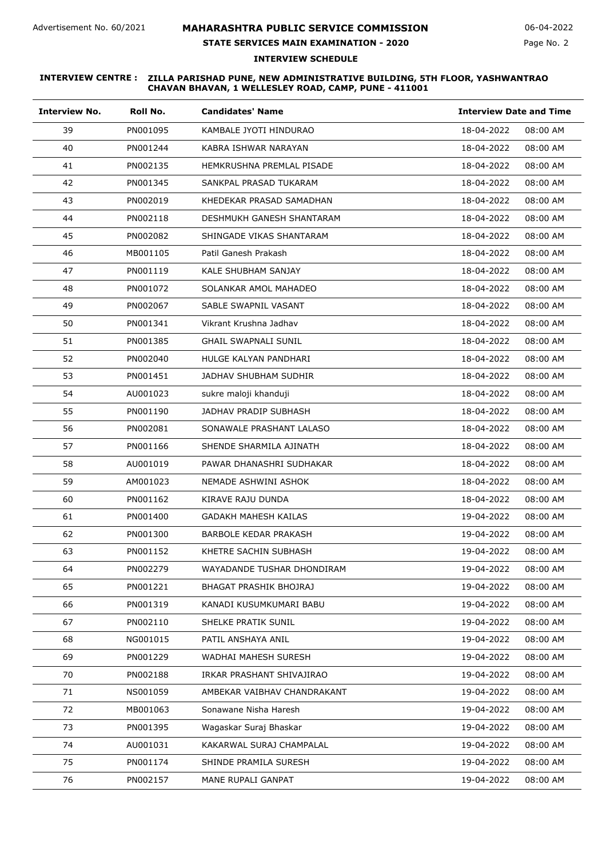# **STATE SERVICES MAIN EXAMINATION - 2020**

Page No. 2

# **INTERVIEW SCHEDULE**

| <b>Interview No.</b> | Roll No. | <b>Candidates' Name</b>     | <b>Interview Date and Time</b> |
|----------------------|----------|-----------------------------|--------------------------------|
| 39                   | PN001095 | KAMBALE JYOTI HINDURAO      | 18-04-2022<br>08:00 AM         |
| 40                   | PN001244 | KABRA ISHWAR NARAYAN        | 18-04-2022<br>08:00 AM         |
| 41                   | PN002135 | HEMKRUSHNA PREMLAL PISADE   | 18-04-2022<br>08:00 AM         |
| 42                   | PN001345 | SANKPAL PRASAD TUKARAM      | 08:00 AM<br>18-04-2022         |
| 43                   | PN002019 | KHEDEKAR PRASAD SAMADHAN    | 08:00 AM<br>18-04-2022         |
| 44                   | PN002118 | DESHMUKH GANESH SHANTARAM   | 18-04-2022<br>08:00 AM         |
| 45                   | PN002082 | SHINGADE VIKAS SHANTARAM    | 18-04-2022<br>08:00 AM         |
| 46                   | MB001105 | Patil Ganesh Prakash        | 18-04-2022<br>08:00 AM         |
| 47                   | PN001119 | KALE SHUBHAM SANJAY         | 18-04-2022<br>08:00 AM         |
| 48                   | PN001072 | SOLANKAR AMOL MAHADEO       | 18-04-2022<br>08:00 AM         |
| 49                   | PN002067 | SABLE SWAPNIL VASANT        | 08:00 AM<br>18-04-2022         |
| 50                   | PN001341 | Vikrant Krushna Jadhav      | 18-04-2022<br>08:00 AM         |
| 51                   | PN001385 | <b>GHAIL SWAPNALI SUNIL</b> | 18-04-2022<br>08:00 AM         |
| 52                   | PN002040 | HULGE KALYAN PANDHARI       | 18-04-2022<br>08:00 AM         |
| 53                   | PN001451 | JADHAV SHUBHAM SUDHIR       | 18-04-2022<br>08:00 AM         |
| 54                   | AU001023 | sukre maloji khanduji       | 18-04-2022<br>08:00 AM         |
| 55                   | PN001190 | JADHAV PRADIP SUBHASH       | 18-04-2022<br>08:00 AM         |
| 56                   | PN002081 | SONAWALE PRASHANT LALASO    | 18-04-2022<br>08:00 AM         |
| 57                   | PN001166 | SHENDE SHARMILA AJINATH     | 08:00 AM<br>18-04-2022         |
| 58                   | AU001019 | PAWAR DHANASHRI SUDHAKAR    | 18-04-2022<br>08:00 AM         |
| 59                   | AM001023 | NEMADE ASHWINI ASHOK        | 08:00 AM<br>18-04-2022         |
| 60                   | PN001162 | KIRAVE RAJU DUNDA           | 18-04-2022<br>08:00 AM         |
| 61                   | PN001400 | <b>GADAKH MAHESH KAILAS</b> | 19-04-2022<br>08:00 AM         |
| 62                   | PN001300 | BARBOLE KEDAR PRAKASH       | 19-04-2022<br>08:00 AM         |
| 63                   | PN001152 | KHETRE SACHIN SUBHASH       | 19-04-2022<br>08:00 AM         |
| 64                   | PN002279 | WAYADANDE TUSHAR DHONDIRAM  | 08:00 AM<br>19-04-2022         |
| 65                   | PN001221 | BHAGAT PRASHIK BHOJRAJ      | 19-04-2022<br>08:00 AM         |
| 66                   | PN001319 | KANADI KUSUMKUMARI BABU     | 19-04-2022<br>08:00 AM         |
| 67                   | PN002110 | SHELKE PRATIK SUNIL         | 19-04-2022<br>08:00 AM         |
| 68                   | NG001015 | PATIL ANSHAYA ANIL          | 19-04-2022<br>08:00 AM         |
| 69                   | PN001229 | WADHAI MAHESH SURESH        | 19-04-2022<br>08:00 AM         |
| 70                   | PN002188 | IRKAR PRASHANT SHIVAJIRAO   | 19-04-2022<br>08:00 AM         |
| 71                   | NS001059 | AMBEKAR VAIBHAV CHANDRAKANT | 19-04-2022<br>08:00 AM         |
| 72                   | MB001063 | Sonawane Nisha Haresh       | 19-04-2022<br>08:00 AM         |
| 73                   | PN001395 | Wagaskar Suraj Bhaskar      | 19-04-2022<br>08:00 AM         |
| 74                   | AU001031 | KAKARWAL SURAJ CHAMPALAL    | 19-04-2022<br>08:00 AM         |
| 75                   | PN001174 | SHINDE PRAMILA SURESH       | 19-04-2022<br>08:00 AM         |
| 76                   | PN002157 | MANE RUPALI GANPAT          | 19-04-2022<br>08:00 AM         |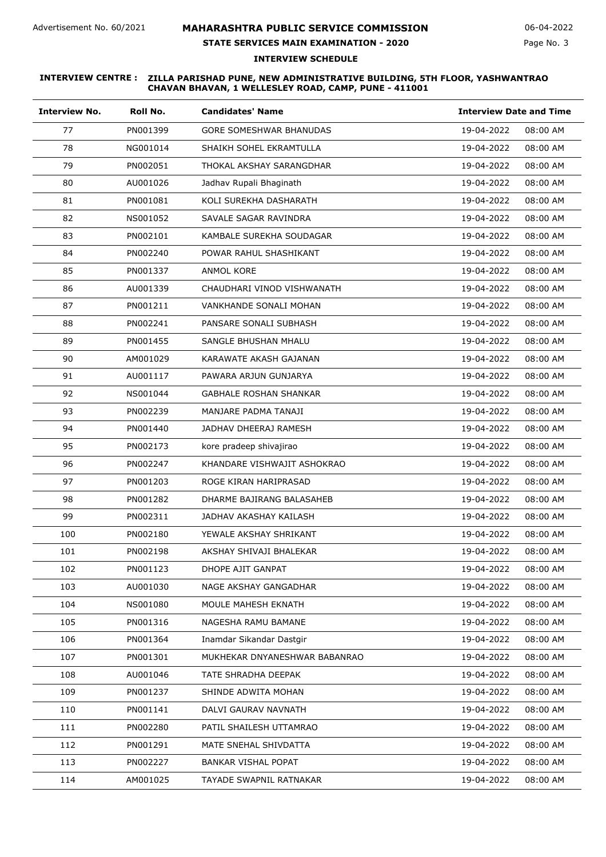## **STATE SERVICES MAIN EXAMINATION - 2020**

# **INTERVIEW SCHEDULE**

| <b>Interview No.</b> | Roll No. | <b>Candidates' Name</b>        | <b>Interview Date and Time</b> |          |
|----------------------|----------|--------------------------------|--------------------------------|----------|
| 77                   | PN001399 | <b>GORE SOMESHWAR BHANUDAS</b> | 19-04-2022                     | 08:00 AM |
| 78                   | NG001014 | SHAIKH SOHEL EKRAMTULLA        | 19-04-2022                     | 08:00 AM |
| 79                   | PN002051 | THOKAL AKSHAY SARANGDHAR       | 19-04-2022                     | 08:00 AM |
| 80                   | AU001026 | Jadhav Rupali Bhaginath        | 19-04-2022                     | 08:00 AM |
| 81                   | PN001081 | KOLI SUREKHA DASHARATH         | 19-04-2022                     | 08:00 AM |
| 82                   | NS001052 | SAVALE SAGAR RAVINDRA          | 19-04-2022                     | 08:00 AM |
| 83                   | PN002101 | KAMBALE SUREKHA SOUDAGAR       | 19-04-2022                     | 08:00 AM |
| 84                   | PN002240 | POWAR RAHUL SHASHIKANT         | 19-04-2022                     | 08:00 AM |
| 85                   | PN001337 | ANMOL KORE                     | 19-04-2022                     | 08:00 AM |
| 86                   | AU001339 | CHAUDHARI VINOD VISHWANATH     | 19-04-2022                     | 08:00 AM |
| 87                   | PN001211 | VANKHANDE SONALI MOHAN         | 19-04-2022                     | 08:00 AM |
| 88                   | PN002241 | PANSARE SONALI SUBHASH         | 19-04-2022                     | 08:00 AM |
| 89                   | PN001455 | SANGLE BHUSHAN MHALU           | 19-04-2022                     | 08:00 AM |
| 90                   | AM001029 | KARAWATE AKASH GAJANAN         | 19-04-2022                     | 08:00 AM |
| 91                   | AU001117 | PAWARA ARJUN GUNJARYA          | 19-04-2022                     | 08:00 AM |
| 92                   | NS001044 | <b>GABHALE ROSHAN SHANKAR</b>  | 19-04-2022                     | 08:00 AM |
| 93                   | PN002239 | MANJARE PADMA TANAJI           | 19-04-2022                     | 08:00 AM |
| 94                   | PN001440 | JADHAV DHEERAJ RAMESH          | 19-04-2022                     | 08:00 AM |
| 95                   | PN002173 | kore pradeep shivajirao        | 19-04-2022                     | 08:00 AM |
| 96                   | PN002247 | KHANDARE VISHWAJIT ASHOKRAO    | 19-04-2022                     | 08:00 AM |
| 97                   | PN001203 | ROGE KIRAN HARIPRASAD          | 19-04-2022                     | 08:00 AM |
| 98                   | PN001282 | DHARME BAJIRANG BALASAHEB      | 19-04-2022                     | 08:00 AM |
| 99                   | PN002311 | JADHAV AKASHAY KAILASH         | 19-04-2022                     | 08:00 AM |
| 100                  | PN002180 | YEWALE AKSHAY SHRIKANT         | 19-04-2022                     | 08:00 AM |
| 101                  | PN002198 | AKSHAY SHIVAJI BHALEKAR        | 19-04-2022                     | 08:00 AM |
| 102                  | PN001123 | DHOPE AJIT GANPAT              | 19-04-2022                     | 08:00 AM |
| 103                  | AU001030 | NAGE AKSHAY GANGADHAR          | 19-04-2022                     | 08:00 AM |
| 104                  | NS001080 | MOULE MAHESH EKNATH            | 19-04-2022                     | 08:00 AM |
| 105                  | PN001316 | NAGESHA RAMU BAMANE            | 19-04-2022                     | 08:00 AM |
| 106                  | PN001364 | Inamdar Sikandar Dastgir       | 19-04-2022                     | 08:00 AM |
| 107                  | PN001301 | MUKHEKAR DNYANESHWAR BABANRAO  | 19-04-2022                     | 08:00 AM |
| 108                  | AU001046 | TATE SHRADHA DEEPAK            | 19-04-2022                     | 08:00 AM |
| 109                  | PN001237 | SHINDE ADWITA MOHAN            | 19-04-2022                     | 08:00 AM |
| 110                  | PN001141 | DALVI GAURAV NAVNATH           | 19-04-2022                     | 08:00 AM |
| 111                  | PN002280 | PATIL SHAILESH UTTAMRAO        | 19-04-2022                     | 08:00 AM |
| 112                  | PN001291 | MATE SNEHAL SHIVDATTA          | 19-04-2022                     | 08:00 AM |
| 113                  | PN002227 | <b>BANKAR VISHAL POPAT</b>     | 19-04-2022                     | 08:00 AM |
| 114                  | AM001025 | TAYADE SWAPNIL RATNAKAR        | 19-04-2022                     | 08:00 AM |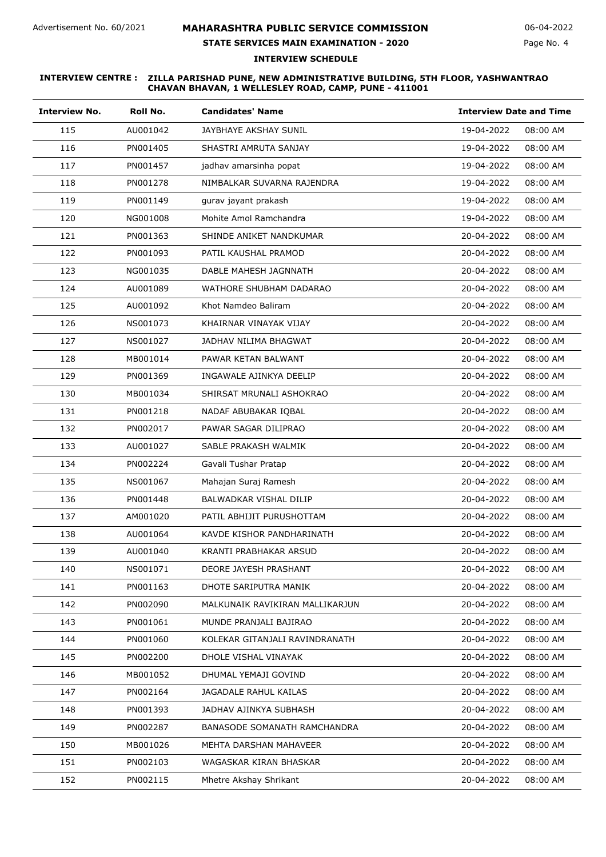# **STATE SERVICES MAIN EXAMINATION - 2020**

Page No. 4

## **INTERVIEW SCHEDULE**

| <b>Interview No.</b> | Roll No. | <b>Candidates' Name</b>         | <b>Interview Date and Time</b> |          |
|----------------------|----------|---------------------------------|--------------------------------|----------|
| 115                  | AU001042 | JAYBHAYE AKSHAY SUNIL           | 19-04-2022                     | 08:00 AM |
| 116                  | PN001405 | SHASTRI AMRUTA SANJAY           | 19-04-2022                     | 08:00 AM |
| 117                  | PN001457 | jadhav amarsinha popat          | 19-04-2022                     | 08:00 AM |
| 118                  | PN001278 | NIMBALKAR SUVARNA RAJENDRA      | 19-04-2022                     | 08:00 AM |
| 119                  | PN001149 | gurav jayant prakash            | 19-04-2022                     | 08:00 AM |
| 120                  | NG001008 | Mohite Amol Ramchandra          | 19-04-2022                     | 08:00 AM |
| 121                  | PN001363 | SHINDE ANIKET NANDKUMAR         | 20-04-2022                     | 08:00 AM |
| 122                  | PN001093 | PATIL KAUSHAL PRAMOD            | 20-04-2022                     | 08:00 AM |
| 123                  | NG001035 | DABLE MAHESH JAGNNATH           | 20-04-2022                     | 08:00 AM |
| 124                  | AU001089 | WATHORE SHUBHAM DADARAO         | 20-04-2022                     | 08:00 AM |
| 125                  | AU001092 | Khot Namdeo Baliram             | 20-04-2022                     | 08:00 AM |
| 126                  | NS001073 | KHAIRNAR VINAYAK VIJAY          | 20-04-2022                     | 08:00 AM |
| 127                  | NS001027 | JADHAV NILIMA BHAGWAT           | 20-04-2022                     | 08:00 AM |
| 128                  | MB001014 | PAWAR KETAN BALWANT             | 20-04-2022                     | 08:00 AM |
| 129                  | PN001369 | INGAWALE AJINKYA DEELIP         | 20-04-2022                     | 08:00 AM |
| 130                  | MB001034 | SHIRSAT MRUNALI ASHOKRAO        | 20-04-2022                     | 08:00 AM |
| 131                  | PN001218 | NADAF ABUBAKAR IQBAL            | 20-04-2022                     | 08:00 AM |
| 132                  | PN002017 | PAWAR SAGAR DILIPRAO            | 20-04-2022                     | 08:00 AM |
| 133                  | AU001027 | SABLE PRAKASH WALMIK            | 20-04-2022                     | 08:00 AM |
| 134                  | PN002224 | Gavali Tushar Pratap            | 20-04-2022                     | 08:00 AM |
| 135                  | NS001067 | Mahajan Suraj Ramesh            | 20-04-2022                     | 08:00 AM |
| 136                  | PN001448 | BALWADKAR VISHAL DILIP          | 20-04-2022                     | 08:00 AM |
| 137                  | AM001020 | PATIL ABHIJIT PURUSHOTTAM       | 20-04-2022                     | 08:00 AM |
| 138                  | AU001064 | KAVDE KISHOR PANDHARINATH       | 20-04-2022                     | 08:00 AM |
| 139                  | AU001040 | KRANTI PRABHAKAR ARSUD          | 20-04-2022                     | 08:00 AM |
| 140                  | NS001071 | DEORE JAYESH PRASHANT           | 20-04-2022                     | 08:00 AM |
| 141                  | PN001163 | DHOTE SARIPUTRA MANIK           | 20-04-2022                     | 08:00 AM |
| 142                  | PN002090 | MALKUNAIK RAVIKIRAN MALLIKARJUN | 20-04-2022                     | 08:00 AM |
| 143                  | PN001061 | MUNDE PRANJALI BAJIRAO          | 20-04-2022                     | 08:00 AM |
| 144                  | PN001060 | KOLEKAR GITANJALI RAVINDRANATH  | 20-04-2022                     | 08:00 AM |
| 145                  | PN002200 | DHOLE VISHAL VINAYAK            | 20-04-2022                     | 08:00 AM |
| 146                  | MB001052 | DHUMAL YEMAJI GOVIND            | 20-04-2022                     | 08:00 AM |
| 147                  | PN002164 | JAGADALE RAHUL KAILAS           | 20-04-2022                     | 08:00 AM |
| 148                  | PN001393 | JADHAV AJINKYA SUBHASH          | 20-04-2022                     | 08:00 AM |
| 149                  | PN002287 | BANASODE SOMANATH RAMCHANDRA    | 20-04-2022                     | 08:00 AM |
| 150                  | MB001026 | MEHTA DARSHAN MAHAVEER          | 20-04-2022                     | 08:00 AM |
| 151                  | PN002103 | WAGASKAR KIRAN BHASKAR          | 20-04-2022                     | 08:00 AM |
| 152                  | PN002115 | Mhetre Akshay Shrikant          | 20-04-2022                     | 08:00 AM |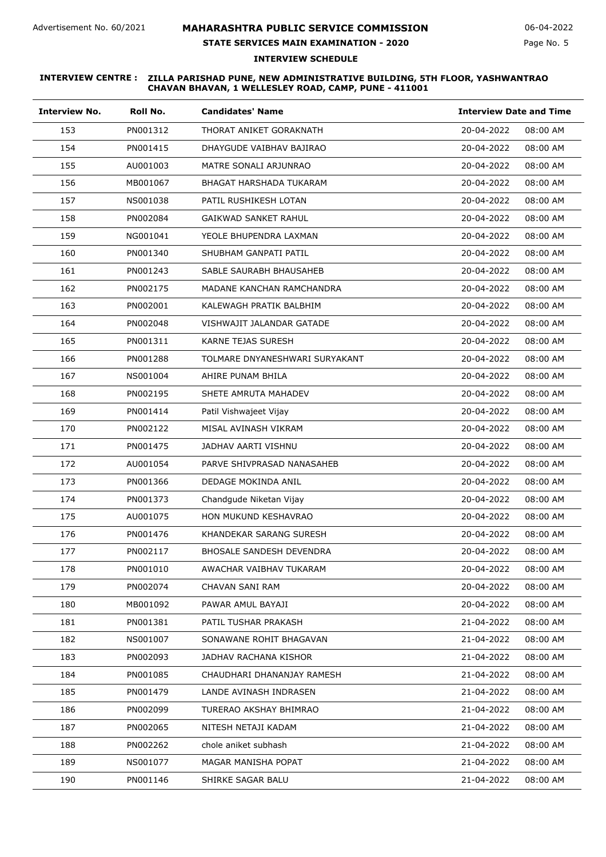# **STATE SERVICES MAIN EXAMINATION - 2020**

Page No. 5

## **INTERVIEW SCHEDULE**

| <b>Interview No.</b> | Roll No. | <b>Candidates' Name</b>         | <b>Interview Date and Time</b> |
|----------------------|----------|---------------------------------|--------------------------------|
| 153                  | PN001312 | THORAT ANIKET GORAKNATH         | 20-04-2022<br>08:00 AM         |
| 154                  | PN001415 | DHAYGUDE VAIBHAV BAJIRAO        | 20-04-2022<br>08:00 AM         |
| 155                  | AU001003 | MATRE SONALI ARJUNRAO           | 20-04-2022<br>08:00 AM         |
| 156                  | MB001067 | BHAGAT HARSHADA TUKARAM         | 08:00 AM<br>20-04-2022         |
| 157                  | NS001038 | PATIL RUSHIKESH LOTAN           | 20-04-2022<br>08:00 AM         |
| 158                  | PN002084 | <b>GAIKWAD SANKET RAHUL</b>     | 20-04-2022<br>08:00 AM         |
| 159                  | NG001041 | YEOLE BHUPENDRA LAXMAN          | 20-04-2022<br>08:00 AM         |
| 160                  | PN001340 | SHUBHAM GANPATI PATIL           | 20-04-2022<br>08:00 AM         |
| 161                  | PN001243 | SABLE SAURABH BHAUSAHEB         | 20-04-2022<br>08:00 AM         |
| 162                  | PN002175 | MADANE KANCHAN RAMCHANDRA       | 20-04-2022<br>08:00 AM         |
| 163                  | PN002001 | KALEWAGH PRATIK BALBHIM         | 20-04-2022<br>08:00 AM         |
| 164                  | PN002048 | VISHWAJIT JALANDAR GATADE       | 20-04-2022<br>08:00 AM         |
| 165                  | PN001311 | KARNE TEJAS SURESH              | 20-04-2022<br>08:00 AM         |
| 166                  | PN001288 | TOLMARE DNYANESHWARI SURYAKANT  | 20-04-2022<br>08:00 AM         |
| 167                  | NS001004 | AHIRE PUNAM BHILA               | 20-04-2022<br>08:00 AM         |
| 168                  | PN002195 | SHETE AMRUTA MAHADEV            | 20-04-2022<br>08:00 AM         |
| 169                  | PN001414 | Patil Vishwajeet Vijay          | 20-04-2022<br>08:00 AM         |
| 170                  | PN002122 | MISAL AVINASH VIKRAM            | 20-04-2022<br>08:00 AM         |
| 171                  | PN001475 | JADHAV AARTI VISHNU             | 20-04-2022<br>08:00 AM         |
| 172                  | AU001054 | PARVE SHIVPRASAD NANASAHEB      | 08:00 AM<br>20-04-2022         |
| 173                  | PN001366 | DEDAGE MOKINDA ANIL             | 20-04-2022<br>08:00 AM         |
| 174                  | PN001373 | Chandgude Niketan Vijay         | 20-04-2022<br>08:00 AM         |
| 175                  | AU001075 | HON MUKUND KESHAVRAO            | 20-04-2022<br>08:00 AM         |
| 176                  | PN001476 | KHANDEKAR SARANG SURESH         | 20-04-2022<br>08:00 AM         |
| 177                  | PN002117 | <b>BHOSALE SANDESH DEVENDRA</b> | 20-04-2022<br>08:00 AM         |
| 178                  | PN001010 | AWACHAR VAIBHAV TUKARAM         | 08:00 AM<br>20-04-2022         |
| 179                  | PN002074 | CHAVAN SANI RAM                 | 20-04-2022<br>08:00 AM         |
| 180                  | MB001092 | PAWAR AMUL BAYAJI               | 20-04-2022<br>08:00 AM         |
| 181                  | PN001381 | PATIL TUSHAR PRAKASH            | 21-04-2022<br>08:00 AM         |
| 182                  | NS001007 | SONAWANE ROHIT BHAGAVAN         | 21-04-2022<br>08:00 AM         |
| 183                  | PN002093 | JADHAV RACHANA KISHOR           | 21-04-2022<br>08:00 AM         |
| 184                  | PN001085 | CHAUDHARI DHANANJAY RAMESH      | 21-04-2022<br>08:00 AM         |
| 185                  | PN001479 | LANDE AVINASH INDRASEN          | 21-04-2022<br>08:00 AM         |
| 186                  | PN002099 | TURERAO AKSHAY BHIMRAO          | 21-04-2022<br>08:00 AM         |
| 187                  | PN002065 | NITESH NETAJI KADAM             | 21-04-2022<br>08:00 AM         |
| 188                  | PN002262 | chole aniket subhash            | 21-04-2022<br>08:00 AM         |
| 189                  | NS001077 | MAGAR MANISHA POPAT             | 21-04-2022<br>08:00 AM         |
| 190                  | PN001146 | SHIRKE SAGAR BALU               | 21-04-2022<br>08:00 AM         |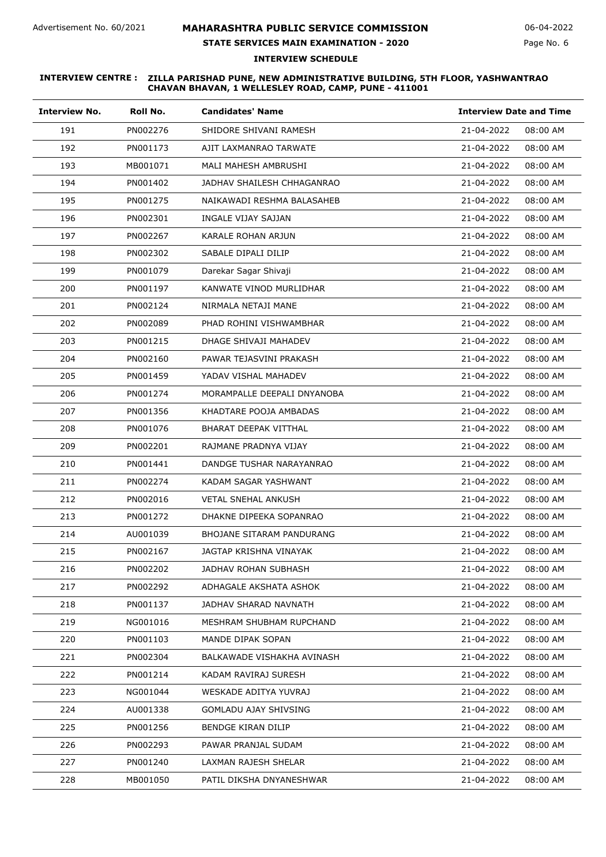# **STATE SERVICES MAIN EXAMINATION - 2020**

Page No. 6

## **INTERVIEW SCHEDULE**

| <b>Interview No.</b> | Roll No. | <b>Candidates' Name</b>      | <b>Interview Date and Time</b> |
|----------------------|----------|------------------------------|--------------------------------|
| 191                  | PN002276 | SHIDORE SHIVANI RAMESH       | 21-04-2022<br>08:00 AM         |
| 192                  | PN001173 | AJIT LAXMANRAO TARWATE       | 21-04-2022<br>08:00 AM         |
| 193                  | MB001071 | MALI MAHESH AMBRUSHI         | 21-04-2022<br>08:00 AM         |
| 194                  | PN001402 | JADHAV SHAILESH CHHAGANRAO   | 21-04-2022<br>08:00 AM         |
| 195                  | PN001275 | NAIKAWADI RESHMA BALASAHEB   | 21-04-2022<br>08:00 AM         |
| 196                  | PN002301 | INGALE VIJAY SAJJAN          | 21-04-2022<br>08:00 AM         |
| 197                  | PN002267 | KARALE ROHAN ARJUN           | 21-04-2022<br>08:00 AM         |
| 198                  | PN002302 | SABALE DIPALI DILIP          | 21-04-2022<br>08:00 AM         |
| 199                  | PN001079 | Darekar Sagar Shivaji        | 21-04-2022<br>08:00 AM         |
| 200                  | PN001197 | KANWATE VINOD MURLIDHAR      | 21-04-2022<br>08:00 AM         |
| 201                  | PN002124 | NIRMALA NETAJI MANE          | 21-04-2022<br>08:00 AM         |
| 202                  | PN002089 | PHAD ROHINI VISHWAMBHAR      | 21-04-2022<br>08:00 AM         |
| 203                  | PN001215 | DHAGE SHIVAJI MAHADEV        | 21-04-2022<br>08:00 AM         |
| 204                  | PN002160 | PAWAR TEJASVINI PRAKASH      | 21-04-2022<br>08:00 AM         |
| 205                  | PN001459 | YADAV VISHAL MAHADEV         | 21-04-2022<br>08:00 AM         |
| 206                  | PN001274 | MORAMPALLE DEEPALI DNYANOBA  | 21-04-2022<br>08:00 AM         |
| 207                  | PN001356 | KHADTARE POOJA AMBADAS       | 21-04-2022<br>08:00 AM         |
| 208                  | PN001076 | BHARAT DEEPAK VITTHAL        | 21-04-2022<br>08:00 AM         |
| 209                  | PN002201 | RAJMANE PRADNYA VIJAY        | 21-04-2022<br>08:00 AM         |
| 210                  | PN001441 | DANDGE TUSHAR NARAYANRAO     | 21-04-2022<br>08:00 AM         |
| 211                  | PN002274 | KADAM SAGAR YASHWANT         | 21-04-2022<br>08:00 AM         |
| 212                  | PN002016 | <b>VETAL SNEHAL ANKUSH</b>   | 21-04-2022<br>08:00 AM         |
| 213                  | PN001272 | DHAKNE DIPEEKA SOPANRAO      | 21-04-2022<br>08:00 AM         |
| 214                  | AU001039 | BHOJANE SITARAM PANDURANG    | 21-04-2022<br>08:00 AM         |
| 215                  | PN002167 | JAGTAP KRISHNA VINAYAK       | 21-04-2022<br>08:00 AM         |
| 216                  | PN002202 | JADHAV ROHAN SUBHASH         | 08:00 AM<br>21-04-2022         |
| 217                  | PN002292 | ADHAGALE AKSHATA ASHOK       | 21-04-2022<br>08:00 AM         |
| 218                  | PN001137 | JADHAV SHARAD NAVNATH        | 21-04-2022<br>08:00 AM         |
| 219                  | NG001016 | MESHRAM SHUBHAM RUPCHAND     | 21-04-2022<br>08:00 AM         |
| 220                  | PN001103 | MANDE DIPAK SOPAN            | 21-04-2022<br>08:00 AM         |
| 221                  | PN002304 | BALKAWADE VISHAKHA AVINASH   | 21-04-2022<br>08:00 AM         |
| 222                  | PN001214 | KADAM RAVIRAJ SURESH         | 21-04-2022<br>08:00 AM         |
| 223                  | NG001044 | WESKADE ADITYA YUVRAJ        | 21-04-2022<br>08:00 AM         |
| 224                  | AU001338 | <b>GOMLADU AJAY SHIVSING</b> | 21-04-2022<br>08:00 AM         |
| 225                  | PN001256 | BENDGE KIRAN DILIP           | 21-04-2022<br>08:00 AM         |
| 226                  | PN002293 | PAWAR PRANJAL SUDAM          | 21-04-2022<br>08:00 AM         |
| 227                  | PN001240 | LAXMAN RAJESH SHELAR         | 21-04-2022<br>08:00 AM         |
| 228                  | MB001050 | PATIL DIKSHA DNYANESHWAR     | 21-04-2022<br>08:00 AM         |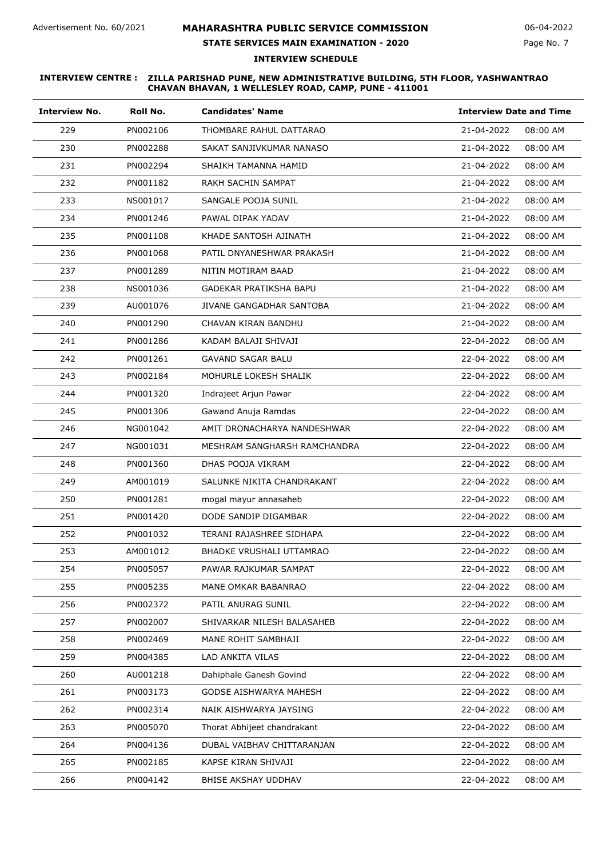# **STATE SERVICES MAIN EXAMINATION - 2020**

06-04-2022

Page No. 7

**INTERVIEW SCHEDULE**

| <b>Interview No.</b> | Roll No. | <b>Candidates' Name</b>       | <b>Interview Date and Time</b> |
|----------------------|----------|-------------------------------|--------------------------------|
| 229                  | PN002106 | THOMBARE RAHUL DATTARAO       | 21-04-2022<br>08:00 AM         |
| 230                  | PN002288 | SAKAT SANJIVKUMAR NANASO      | 21-04-2022<br>08:00 AM         |
| 231                  | PN002294 | SHAIKH TAMANNA HAMID          | 21-04-2022<br>08:00 AM         |
| 232                  | PN001182 | RAKH SACHIN SAMPAT            | 21-04-2022<br>08:00 AM         |
| 233                  | NS001017 | SANGALE POOJA SUNIL           | 21-04-2022<br>08:00 AM         |
| 234                  | PN001246 | PAWAL DIPAK YADAV             | 21-04-2022<br>08:00 AM         |
| 235                  | PN001108 | KHADE SANTOSH AJINATH         | 21-04-2022<br>08:00 AM         |
| 236                  | PN001068 | PATIL DNYANESHWAR PRAKASH     | 21-04-2022<br>08:00 AM         |
| 237                  | PN001289 | NITIN MOTIRAM BAAD            | 21-04-2022<br>08:00 AM         |
| 238                  | NS001036 | GADEKAR PRATIKSHA BAPU        | 21-04-2022<br>08:00 AM         |
| 239                  | AU001076 | JIVANE GANGADHAR SANTOBA      | 21-04-2022<br>08:00 AM         |
| 240                  | PN001290 | CHAVAN KIRAN BANDHU           | 21-04-2022<br>08:00 AM         |
| 241                  | PN001286 | KADAM BALAJI SHIVAJI          | 22-04-2022<br>08:00 AM         |
| 242                  | PN001261 | <b>GAVAND SAGAR BALU</b>      | 22-04-2022<br>08:00 AM         |
| 243                  | PN002184 | MOHURLE LOKESH SHALIK         | 22-04-2022<br>08:00 AM         |
| 244                  | PN001320 | Indrajeet Arjun Pawar         | 22-04-2022<br>08:00 AM         |
| 245                  | PN001306 | Gawand Anuja Ramdas           | 22-04-2022<br>08:00 AM         |
| 246                  | NG001042 | AMIT DRONACHARYA NANDESHWAR   | 22-04-2022<br>08:00 AM         |
| 247                  | NG001031 | MESHRAM SANGHARSH RAMCHANDRA  | 22-04-2022<br>08:00 AM         |
| 248                  | PN001360 | DHAS POOJA VIKRAM             | 22-04-2022<br>08:00 AM         |
| 249                  | AM001019 | SALUNKE NIKITA CHANDRAKANT    | 22-04-2022<br>08:00 AM         |
| 250                  | PN001281 | mogal mayur annasaheb         | 22-04-2022<br>08:00 AM         |
| 251                  | PN001420 | DODE SANDIP DIGAMBAR          | 22-04-2022<br>08:00 AM         |
| 252                  | PN001032 | TERANI RAJASHREE SIDHAPA      | 22-04-2022<br>08:00 AM         |
| 253                  | AM001012 | BHADKE VRUSHALI UTTAMRAO      | 22-04-2022<br>08:00 AM         |
| 254                  | PN005057 | PAWAR RAJKUMAR SAMPAT         | 22-04-2022<br>08:00 AM         |
| 255                  | PN005235 | MANE OMKAR BABANRAO           | 22-04-2022<br>08:00 AM         |
| 256                  | PN002372 | PATIL ANURAG SUNIL            | 22-04-2022<br>08:00 AM         |
| 257                  | PN002007 | SHIVARKAR NILESH BALASAHEB    | 22-04-2022<br>08:00 AM         |
| 258                  | PN002469 | MANE ROHIT SAMBHAJI           | 22-04-2022<br>08:00 AM         |
| 259                  | PN004385 | LAD ANKITA VILAS              | 22-04-2022<br>08:00 AM         |
| 260                  | AU001218 | Dahiphale Ganesh Govind       | 22-04-2022<br>08:00 AM         |
| 261                  | PN003173 | <b>GODSE AISHWARYA MAHESH</b> | 22-04-2022<br>08:00 AM         |
| 262                  | PN002314 | NAIK AISHWARYA JAYSING        | 22-04-2022<br>08:00 AM         |
| 263                  | PN005070 | Thorat Abhijeet chandrakant   | 22-04-2022<br>08:00 AM         |
| 264                  | PN004136 | DUBAL VAIBHAV CHITTARANJAN    | 22-04-2022<br>08:00 AM         |
| 265                  | PN002185 | KAPSE KIRAN SHIVAJI           | 22-04-2022<br>08:00 AM         |
| 266                  | PN004142 | BHISE AKSHAY UDDHAV           | 22-04-2022<br>08:00 AM         |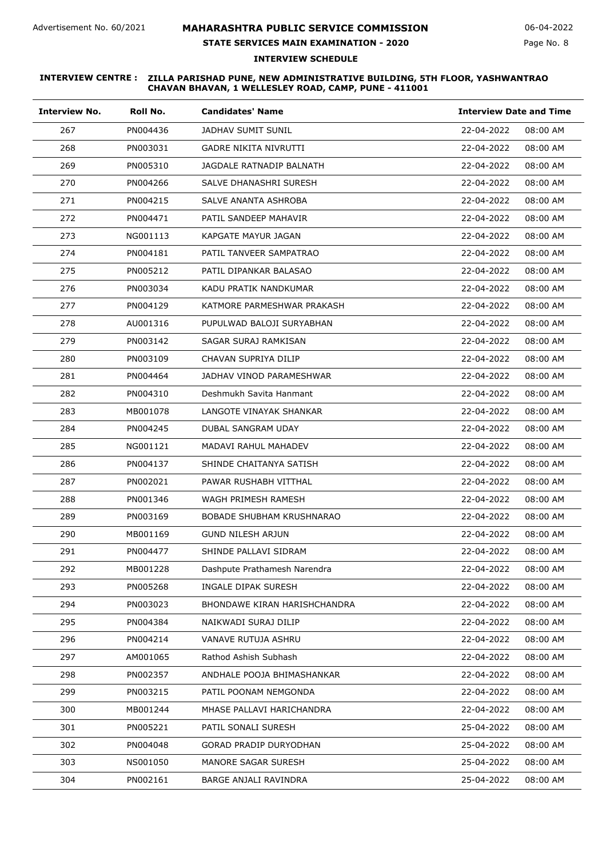# **STATE SERVICES MAIN EXAMINATION - 2020**

Page No. 8

# **INTERVIEW SCHEDULE**

| <b>Interview No.</b> | Roll No. | <b>Candidates' Name</b>      | <b>Interview Date and Time</b> |
|----------------------|----------|------------------------------|--------------------------------|
| 267                  | PN004436 | JADHAV SUMIT SUNIL           | 22-04-2022<br>08:00 AM         |
| 268                  | PN003031 | GADRE NIKITA NIVRUTTI        | 22-04-2022<br>08:00 AM         |
| 269                  | PN005310 | JAGDALE RATNADIP BALNATH     | 22-04-2022<br>08:00 AM         |
| 270                  | PN004266 | SALVE DHANASHRI SURESH       | 22-04-2022<br>08:00 AM         |
| 271                  | PN004215 | SALVE ANANTA ASHROBA         | 22-04-2022<br>08:00 AM         |
| 272                  | PN004471 | PATIL SANDEEP MAHAVIR        | 22-04-2022<br>08:00 AM         |
| 273                  | NG001113 | KAPGATE MAYUR JAGAN          | 22-04-2022<br>08:00 AM         |
| 274                  | PN004181 | PATIL TANVEER SAMPATRAO      | 22-04-2022<br>08:00 AM         |
| 275                  | PN005212 | PATIL DIPANKAR BALASAO       | 22-04-2022<br>08:00 AM         |
| 276                  | PN003034 | KADU PRATIK NANDKUMAR        | 22-04-2022<br>08:00 AM         |
| 277                  | PN004129 | KATMORE PARMESHWAR PRAKASH   | 22-04-2022<br>08:00 AM         |
| 278                  | AU001316 | PUPULWAD BALOJI SURYABHAN    | 22-04-2022<br>08:00 AM         |
| 279                  | PN003142 | SAGAR SURAJ RAMKISAN         | 22-04-2022<br>08:00 AM         |
| 280                  | PN003109 | CHAVAN SUPRIYA DILIP         | 22-04-2022<br>08:00 AM         |
| 281                  | PN004464 | JADHAV VINOD PARAMESHWAR     | 22-04-2022<br>08:00 AM         |
| 282                  | PN004310 | Deshmukh Savita Hanmant      | 22-04-2022<br>08:00 AM         |
| 283                  | MB001078 | LANGOTE VINAYAK SHANKAR      | 22-04-2022<br>08:00 AM         |
| 284                  | PN004245 | DUBAL SANGRAM UDAY           | 22-04-2022<br>08:00 AM         |
| 285                  | NG001121 | MADAVI RAHUL MAHADEV         | 22-04-2022<br>08:00 AM         |
| 286                  | PN004137 | SHINDE CHAITANYA SATISH      | 22-04-2022<br>08:00 AM         |
| 287                  | PN002021 | PAWAR RUSHABH VITTHAL        | 22-04-2022<br>08:00 AM         |
| 288                  | PN001346 | WAGH PRIMESH RAMESH          | 22-04-2022<br>08:00 AM         |
| 289                  | PN003169 | BOBADE SHUBHAM KRUSHNARAO    | 22-04-2022<br>08:00 AM         |
| 290                  | MB001169 | <b>GUND NILESH ARJUN</b>     | 22-04-2022<br>08:00 AM         |
| 291                  | PN004477 | SHINDE PALLAVI SIDRAM        | 22-04-2022<br>08:00 AM         |
| 292                  | MB001228 | Dashpute Prathamesh Narendra | 22-04-2022<br>08:00 AM         |
| 293                  | PN005268 | INGALE DIPAK SURESH          | 22-04-2022<br>08:00 AM         |
| 294                  | PN003023 | BHONDAWE KIRAN HARISHCHANDRA | 22-04-2022<br>08:00 AM         |
| 295                  | PN004384 | NAIKWADI SURAJ DILIP         | 22-04-2022<br>08:00 AM         |
| 296                  | PN004214 | VANAVE RUTUJA ASHRU          | 22-04-2022<br>08:00 AM         |
| 297                  | AM001065 | Rathod Ashish Subhash        | 22-04-2022<br>08:00 AM         |
| 298                  | PN002357 | ANDHALE POOJA BHIMASHANKAR   | 22-04-2022<br>08:00 AM         |
| 299                  | PN003215 | PATIL POONAM NEMGONDA        | 22-04-2022<br>08:00 AM         |
| 300                  | MB001244 | MHASE PALLAVI HARICHANDRA    | 22-04-2022<br>08:00 AM         |
| 301                  | PN005221 | PATIL SONALI SURESH          | 25-04-2022<br>08:00 AM         |
| 302                  | PN004048 | GORAD PRADIP DURYODHAN       | 25-04-2022<br>08:00 AM         |
| 303                  | NS001050 | MANORE SAGAR SURESH          | 25-04-2022<br>08:00 AM         |
| 304                  | PN002161 | BARGE ANJALI RAVINDRA        | 25-04-2022<br>08:00 AM         |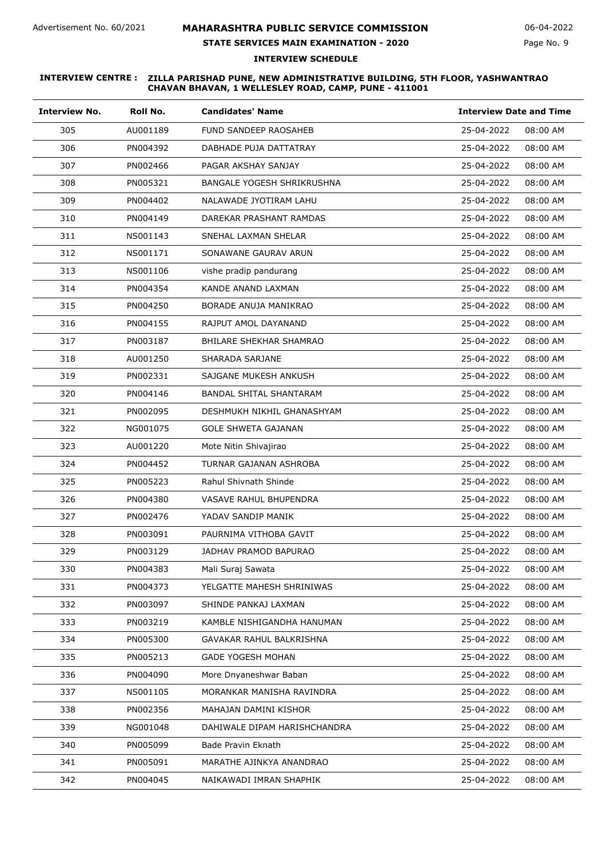# **STATE SERVICES MAIN EXAMINATION - 2020**

Page No. 9

## **INTERVIEW SCHEDULE**

| <b>Interview No.</b> | Roll No. | <b>Candidates' Name</b>        | <b>Interview Date and Time</b> |  |
|----------------------|----------|--------------------------------|--------------------------------|--|
| 305                  | AU001189 | FUND SANDEEP RAOSAHEB          | 25-04-2022<br>08:00 AM         |  |
| 306                  | PN004392 | DABHADE PUJA DATTATRAY         | 25-04-2022<br>08:00 AM         |  |
| 307                  | PN002466 | PAGAR AKSHAY SANJAY            | 25-04-2022<br>08:00 AM         |  |
| 308                  | PN005321 | BANGALE YOGESH SHRIKRUSHNA     | 25-04-2022<br>08:00 AM         |  |
| 309                  | PN004402 | NALAWADE JYOTIRAM LAHU         | 25-04-2022<br>08:00 AM         |  |
| 310                  | PN004149 | DAREKAR PRASHANT RAMDAS        | 25-04-2022<br>08:00 AM         |  |
| 311                  | NS001143 | SNEHAL LAXMAN SHELAR           | 25-04-2022<br>08:00 AM         |  |
| 312                  | NS001171 | SONAWANE GAURAV ARUN           | 25-04-2022<br>08:00 AM         |  |
| 313                  | NS001106 | vishe pradip pandurang         | 25-04-2022<br>08:00 AM         |  |
| 314                  | PN004354 | KANDE ANAND LAXMAN             | 08:00 AM<br>25-04-2022         |  |
| 315                  | PN004250 | BORADE ANUJA MANIKRAO          | 25-04-2022<br>08:00 AM         |  |
| 316                  | PN004155 | RAJPUT AMOL DAYANAND           | 25-04-2022<br>08:00 AM         |  |
| 317                  | PN003187 | BHILARE SHEKHAR SHAMRAO        | 25-04-2022<br>08:00 AM         |  |
| 318                  | AU001250 | SHARADA SARJANE                | 25-04-2022<br>08:00 AM         |  |
| 319                  | PN002331 | SAJGANE MUKESH ANKUSH          | 25-04-2022<br>08:00 AM         |  |
| 320                  | PN004146 | <b>BANDAL SHITAL SHANTARAM</b> | 25-04-2022<br>08:00 AM         |  |
| 321                  | PN002095 | DESHMUKH NIKHIL GHANASHYAM     | 25-04-2022<br>08:00 AM         |  |
| 322                  | NG001075 | <b>GOLE SHWETA GAJANAN</b>     | 25-04-2022<br>08:00 AM         |  |
| 323                  | AU001220 | Mote Nitin Shivajirao          | 25-04-2022<br>08:00 AM         |  |
| 324                  | PN004452 | TURNAR GAJANAN ASHROBA         | 08:00 AM<br>25-04-2022         |  |
| 325                  | PN005223 | Rahul Shivnath Shinde          | 25-04-2022<br>08:00 AM         |  |
| 326                  | PN004380 | VASAVE RAHUL BHUPENDRA         | 25-04-2022<br>08:00 AM         |  |
| 327                  | PN002476 | YADAV SANDIP MANIK             | 25-04-2022<br>08:00 AM         |  |
| 328                  | PN003091 | PAURNIMA VITHOBA GAVIT         | 25-04-2022<br>08:00 AM         |  |
| 329                  | PN003129 | JADHAV PRAMOD BAPURAO          | 25-04-2022<br>08:00 AM         |  |
| 330                  | PN004383 | Mali Suraj Sawata              | 25-04-2022<br>08:00 AM         |  |
| 331                  | PN004373 | YELGATTE MAHESH SHRINIWAS      | 25-04-2022<br>08:00 AM         |  |
| 332                  | PN003097 | SHINDE PANKAJ LAXMAN           | 25-04-2022<br>08:00 AM         |  |
| 333                  | PN003219 | KAMBLE NISHIGANDHA HANUMAN     | 25-04-2022<br>08:00 AM         |  |
| 334                  | PN005300 | GAVAKAR RAHUL BALKRISHNA       | 25-04-2022<br>08:00 AM         |  |
| 335                  | PN005213 | <b>GADE YOGESH MOHAN</b>       | 25-04-2022<br>08:00 AM         |  |
| 336                  | PN004090 | More Dnyaneshwar Baban         | 25-04-2022<br>08:00 AM         |  |
| 337                  | NS001105 | MORANKAR MANISHA RAVINDRA      | 25-04-2022<br>08:00 AM         |  |
| 338                  | PN002356 | MAHAJAN DAMINI KISHOR          | 25-04-2022<br>08:00 AM         |  |
| 339                  | NG001048 | DAHIWALE DIPAM HARISHCHANDRA   | 25-04-2022<br>08:00 AM         |  |
| 340                  | PN005099 | Bade Pravin Eknath             | 25-04-2022<br>08:00 AM         |  |
| 341                  | PN005091 | MARATHE AJINKYA ANANDRAO       | 25-04-2022<br>08:00 AM         |  |
| 342                  | PN004045 | NAIKAWADI IMRAN SHAPHIK        | 25-04-2022<br>08:00 AM         |  |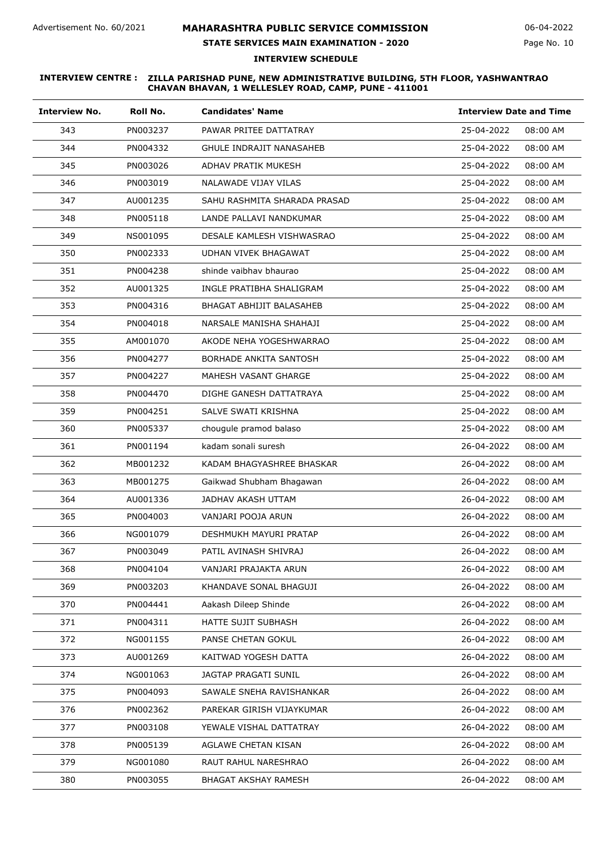# **STATE SERVICES MAIN EXAMINATION - 2020**

### **INTERVIEW SCHEDULE**

| <b>Interview No.</b> | Roll No. | <b>Candidates' Name</b>      | <b>Interview Date and Time</b> |
|----------------------|----------|------------------------------|--------------------------------|
| 343                  | PN003237 | PAWAR PRITEE DATTATRAY       | 25-04-2022<br>08:00 AM         |
| 344                  | PN004332 | GHULE INDRAJIT NANASAHEB     | 25-04-2022<br>08:00 AM         |
| 345                  | PN003026 | ADHAV PRATIK MUKESH          | 25-04-2022<br>08:00 AM         |
| 346                  | PN003019 | NALAWADE VIJAY VILAS         | 25-04-2022<br>08:00 AM         |
| 347                  | AU001235 | SAHU RASHMITA SHARADA PRASAD | 25-04-2022<br>08:00 AM         |
| 348                  | PN005118 | LANDE PALLAVI NANDKUMAR      | 25-04-2022<br>08:00 AM         |
| 349                  | NS001095 | DESALE KAMLESH VISHWASRAO    | 25-04-2022<br>08:00 AM         |
| 350                  | PN002333 | UDHAN VIVEK BHAGAWAT         | 25-04-2022<br>08:00 AM         |
| 351                  | PN004238 | shinde vaibhav bhaurao       | 25-04-2022<br>08:00 AM         |
| 352                  | AU001325 | INGLE PRATIBHA SHALIGRAM     | 25-04-2022<br>08:00 AM         |
| 353                  | PN004316 | BHAGAT ABHIJIT BALASAHEB     | 25-04-2022<br>08:00 AM         |
| 354                  | PN004018 | NARSALE MANISHA SHAHAJI      | 25-04-2022<br>08:00 AM         |
| 355                  | AM001070 | AKODE NEHA YOGESHWARRAO      | 25-04-2022<br>08:00 AM         |
| 356                  | PN004277 | BORHADE ANKITA SANTOSH       | 25-04-2022<br>08:00 AM         |
| 357                  | PN004227 | MAHESH VASANT GHARGE         | 25-04-2022<br>08:00 AM         |
| 358                  | PN004470 | DIGHE GANESH DATTATRAYA      | 25-04-2022<br>08:00 AM         |
| 359                  | PN004251 | SALVE SWATI KRISHNA          | 25-04-2022<br>08:00 AM         |
| 360                  | PN005337 | chougule pramod balaso       | 25-04-2022<br>08:00 AM         |
| 361                  | PN001194 | kadam sonali suresh          | 26-04-2022<br>08:00 AM         |
| 362                  | MB001232 | KADAM BHAGYASHREE BHASKAR    | 26-04-2022<br>08:00 AM         |
| 363                  | MB001275 | Gaikwad Shubham Bhagawan     | 26-04-2022<br>08:00 AM         |
| 364                  | AU001336 | JADHAV AKASH UTTAM           | 26-04-2022<br>08:00 AM         |
| 365                  | PN004003 | VANJARI POOJA ARUN           | 26-04-2022<br>08:00 AM         |
| 366                  | NG001079 | DESHMUKH MAYURI PRATAP       | 26-04-2022<br>08:00 AM         |
| 367                  | PN003049 | PATIL AVINASH SHIVRAJ        | 26-04-2022<br>08:00 AM         |
| 368                  | PN004104 | VANJARI PRAJAKTA ARUN        | 26-04-2022<br>08:00 AM         |
| 369                  | PN003203 | KHANDAVE SONAL BHAGUJI       | 26-04-2022<br>08:00 AM         |
| 370                  | PN004441 | Aakash Dileep Shinde         | 26-04-2022<br>08:00 AM         |
| 371                  | PN004311 | HATTE SUJIT SUBHASH          | 26-04-2022<br>08:00 AM         |
| 372                  | NG001155 | PANSE CHETAN GOKUL           | 26-04-2022<br>08:00 AM         |
| 373                  | AU001269 | KAITWAD YOGESH DATTA         | 26-04-2022<br>08:00 AM         |
| 374                  | NG001063 | JAGTAP PRAGATI SUNIL         | 26-04-2022<br>08:00 AM         |
| 375                  | PN004093 | SAWALE SNEHA RAVISHANKAR     | 26-04-2022<br>08:00 AM         |
| 376                  | PN002362 | PAREKAR GIRISH VIJAYKUMAR    | 26-04-2022<br>08:00 AM         |
| 377                  | PN003108 | YEWALE VISHAL DATTATRAY      | 26-04-2022<br>08:00 AM         |
| 378                  | PN005139 | AGLAWE CHETAN KISAN          | 26-04-2022<br>08:00 AM         |
| 379                  | NG001080 | RAUT RAHUL NARESHRAO         | 26-04-2022<br>08:00 AM         |
| 380                  | PN003055 | <b>BHAGAT AKSHAY RAMESH</b>  | 26-04-2022<br>08:00 AM         |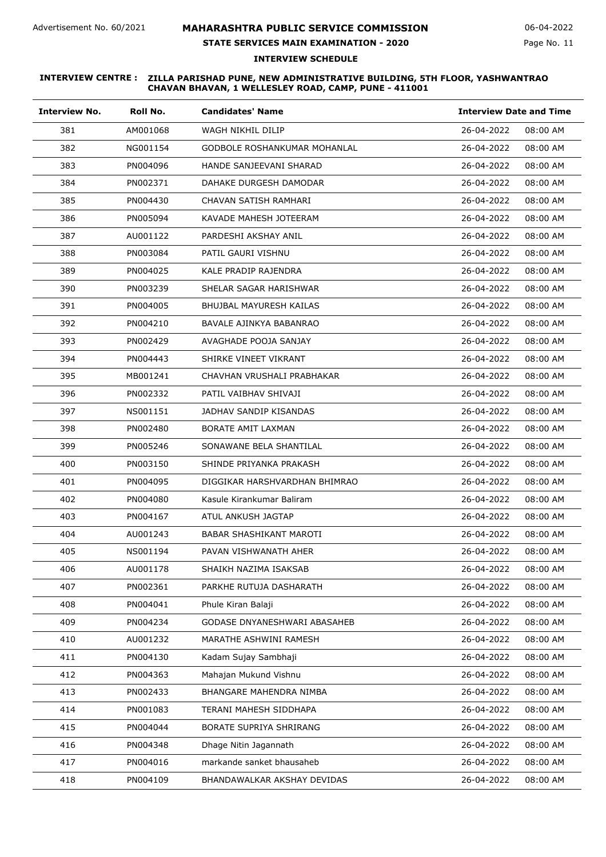# **STATE SERVICES MAIN EXAMINATION - 2020**

# **INTERVIEW SCHEDULE**

| <b>Interview No.</b> | Roll No. | <b>Candidates' Name</b>       | <b>Interview Date and Time</b> |          |
|----------------------|----------|-------------------------------|--------------------------------|----------|
| 381                  | AM001068 | WAGH NIKHIL DILIP             | 26-04-2022                     | 08:00 AM |
| 382                  | NG001154 | GODBOLE ROSHANKUMAR MOHANLAL  | 26-04-2022                     | 08:00 AM |
| 383                  | PN004096 | HANDE SANJEEVANI SHARAD       | 26-04-2022                     | 08:00 AM |
| 384                  | PN002371 | DAHAKE DURGESH DAMODAR        | 26-04-2022                     | 08:00 AM |
| 385                  | PN004430 | CHAVAN SATISH RAMHARI         | 26-04-2022                     | 08:00 AM |
| 386                  | PN005094 | KAVADE MAHESH JOTEERAM        | 26-04-2022                     | 08:00 AM |
| 387                  | AU001122 | PARDESHI AKSHAY ANIL          | 26-04-2022                     | 08:00 AM |
| 388                  | PN003084 | PATIL GAURI VISHNU            | 26-04-2022                     | 08:00 AM |
| 389                  | PN004025 | KALE PRADIP RAJENDRA          | 26-04-2022                     | 08:00 AM |
| 390                  | PN003239 | SHELAR SAGAR HARISHWAR        | 26-04-2022                     | 08:00 AM |
| 391                  | PN004005 | BHUJBAL MAYURESH KAILAS       | 26-04-2022                     | 08:00 AM |
| 392                  | PN004210 | BAVALE AJINKYA BABANRAO       | 26-04-2022                     | 08:00 AM |
| 393                  | PN002429 | AVAGHADE POOJA SANJAY         | 26-04-2022                     | 08:00 AM |
| 394                  | PN004443 | SHIRKE VINEET VIKRANT         | 26-04-2022                     | 08:00 AM |
| 395                  | MB001241 | CHAVHAN VRUSHALI PRABHAKAR    | 26-04-2022                     | 08:00 AM |
| 396                  | PN002332 | PATIL VAIBHAV SHIVAJI         | 26-04-2022                     | 08:00 AM |
| 397                  | NS001151 | JADHAV SANDIP KISANDAS        | 26-04-2022                     | 08:00 AM |
| 398                  | PN002480 | BORATE AMIT LAXMAN            | 26-04-2022                     | 08:00 AM |
| 399                  | PN005246 | SONAWANE BELA SHANTILAL       | 26-04-2022                     | 08:00 AM |
| 400                  | PN003150 | SHINDE PRIYANKA PRAKASH       | 26-04-2022                     | 08:00 AM |
| 401                  | PN004095 | DIGGIKAR HARSHVARDHAN BHIMRAO | 26-04-2022                     | 08:00 AM |
| 402                  | PN004080 | Kasule Kirankumar Baliram     | 26-04-2022                     | 08:00 AM |
| 403                  | PN004167 | ATUL ANKUSH JAGTAP            | 26-04-2022                     | 08:00 AM |
| 404                  | AU001243 | BABAR SHASHIKANT MAROTI       | 26-04-2022                     | 08:00 AM |
| 405                  | NS001194 | PAVAN VISHWANATH AHER         | 26-04-2022                     | 08:00 AM |
| 406                  | AU001178 | SHAIKH NAZIMA ISAKSAB         | 26-04-2022                     | 08:00 AM |
| 407                  | PN002361 | PARKHE RUTUJA DASHARATH       | 26-04-2022                     | 08:00 AM |
| 408                  | PN004041 | Phule Kiran Balaji            | 26-04-2022                     | 08:00 AM |
| 409                  | PN004234 | GODASE DNYANESHWARI ABASAHEB  | 26-04-2022                     | 08:00 AM |
| 410                  | AU001232 | MARATHE ASHWINI RAMESH        | 26-04-2022                     | 08:00 AM |
| 411                  | PN004130 | Kadam Sujay Sambhaji          | 26-04-2022                     | 08:00 AM |
| 412                  | PN004363 | Mahajan Mukund Vishnu         | 26-04-2022                     | 08:00 AM |
| 413                  | PN002433 | BHANGARE MAHENDRA NIMBA       | 26-04-2022                     | 08:00 AM |
| 414                  | PN001083 | TERANI MAHESH SIDDHAPA        | 26-04-2022                     | 08:00 AM |
| 415                  | PN004044 | BORATE SUPRIYA SHRIRANG       | 26-04-2022                     | 08:00 AM |
| 416                  | PN004348 | Dhage Nitin Jagannath         | 26-04-2022                     | 08:00 AM |
| 417                  | PN004016 | markande sanket bhausaheb     | 26-04-2022                     | 08:00 AM |
| 418                  | PN004109 | BHANDAWALKAR AKSHAY DEVIDAS   | 26-04-2022                     | 08:00 AM |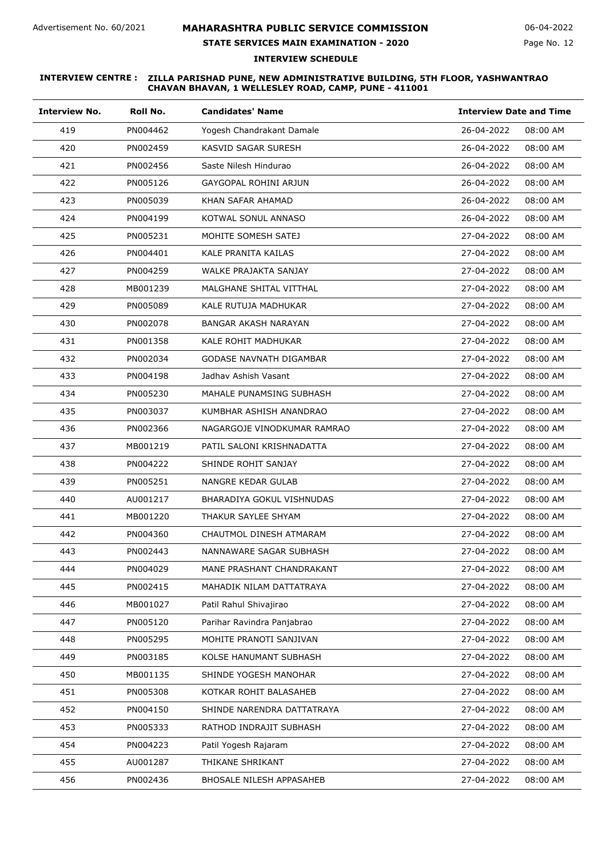# **STATE SERVICES MAIN EXAMINATION - 2020**

Page No. 12 06-04-2022

### **INTERVIEW SCHEDULE**

| <b>Interview No.</b> | Roll No. | <b>Candidates' Name</b>     | <b>Interview Date and Time</b> |
|----------------------|----------|-----------------------------|--------------------------------|
| 419                  | PN004462 | Yogesh Chandrakant Damale   | 26-04-2022<br>08:00 AM         |
| 420                  | PN002459 | KASVID SAGAR SURESH         | 26-04-2022<br>08:00 AM         |
| 421                  | PN002456 | Saste Nilesh Hindurao       | 26-04-2022<br>08:00 AM         |
| 422                  | PN005126 | GAYGOPAL ROHINI ARJUN       | 26-04-2022<br>08:00 AM         |
| 423                  | PN005039 | KHAN SAFAR AHAMAD           | 26-04-2022<br>08:00 AM         |
| 424                  | PN004199 | KOTWAL SONUL ANNASO         | 08:00 AM<br>26-04-2022         |
| 425                  | PN005231 | MOHITE SOMESH SATEJ         | 27-04-2022<br>08:00 AM         |
| 426                  | PN004401 | KALE PRANITA KAILAS         | 27-04-2022<br>08:00 AM         |
| 427                  | PN004259 | WALKE PRAJAKTA SANJAY       | 27-04-2022<br>08:00 AM         |
| 428                  | MB001239 | MALGHANE SHITAL VITTHAL     | 27-04-2022<br>08:00 AM         |
| 429                  | PN005089 | KALE RUTUJA MADHUKAR        | 27-04-2022<br>08:00 AM         |
| 430                  | PN002078 | BANGAR AKASH NARAYAN        | 08:00 AM<br>27-04-2022         |
| 431                  | PN001358 | KALE ROHIT MADHUKAR         | 27-04-2022<br>08:00 AM         |
| 432                  | PN002034 | GODASE NAVNATH DIGAMBAR     | 27-04-2022<br>08:00 AM         |
| 433                  | PN004198 | Jadhav Ashish Vasant        | 27-04-2022<br>08:00 AM         |
| 434                  | PN005230 | MAHALE PUNAMSING SUBHASH    | 27-04-2022<br>08:00 AM         |
| 435                  | PN003037 | KUMBHAR ASHISH ANANDRAO     | 27-04-2022<br>08:00 AM         |
| 436                  | PN002366 | NAGARGOJE VINODKUMAR RAMRAO | 27-04-2022<br>08:00 AM         |
| 437                  | MB001219 | PATIL SALONI KRISHNADATTA   | 27-04-2022<br>08:00 AM         |
| 438                  | PN004222 | SHINDE ROHIT SANJAY         | 27-04-2022<br>08:00 AM         |
| 439                  | PN005251 | NANGRE KEDAR GULAB          | 27-04-2022<br>08:00 AM         |
| 440                  | AU001217 | BHARADIYA GOKUL VISHNUDAS   | 08:00 AM<br>27-04-2022         |
| 441                  | MB001220 | THAKUR SAYLEE SHYAM         | 27-04-2022<br>08:00 AM         |
| 442                  | PN004360 | CHAUTMOL DINESH ATMARAM     | 27-04-2022<br>08:00 AM         |
| 443                  | PN002443 | NANNAWARE SAGAR SUBHASH     | 27-04-2022<br>08:00 AM         |
| 444                  | PN004029 | MANE PRASHANT CHANDRAKANT   | 27-04-2022<br>08:00 AM         |
| 445                  | PN002415 | MAHADIK NILAM DATTATRAYA    | 27-04-2022<br>08:00 AM         |
| 446                  | MB001027 | Patil Rahul Shivajirao      | 27-04-2022<br>08:00 AM         |
| 447                  | PN005120 | Parihar Ravindra Panjabrao  | 27-04-2022<br>08:00 AM         |
| 448                  | PN005295 | MOHITE PRANOTI SANJIVAN     | 27-04-2022<br>08:00 AM         |
| 449                  | PN003185 | KOLSE HANUMANT SUBHASH      | 27-04-2022<br>08:00 AM         |
| 450                  | MB001135 | SHINDE YOGESH MANOHAR       | 27-04-2022<br>08:00 AM         |
| 451                  | PN005308 | KOTKAR ROHIT BALASAHEB      | 27-04-2022<br>08:00 AM         |
| 452                  | PN004150 | SHINDE NARENDRA DATTATRAYA  | 27-04-2022<br>08:00 AM         |
| 453                  | PN005333 | RATHOD INDRAJIT SUBHASH     | 27-04-2022<br>08:00 AM         |
| 454                  | PN004223 | Patil Yogesh Rajaram        | 27-04-2022<br>08:00 AM         |
| 455                  | AU001287 | THIKANE SHRIKANT            | 27-04-2022<br>08:00 AM         |
| 456                  | PN002436 | BHOSALE NILESH APPASAHEB    | 27-04-2022<br>08:00 AM         |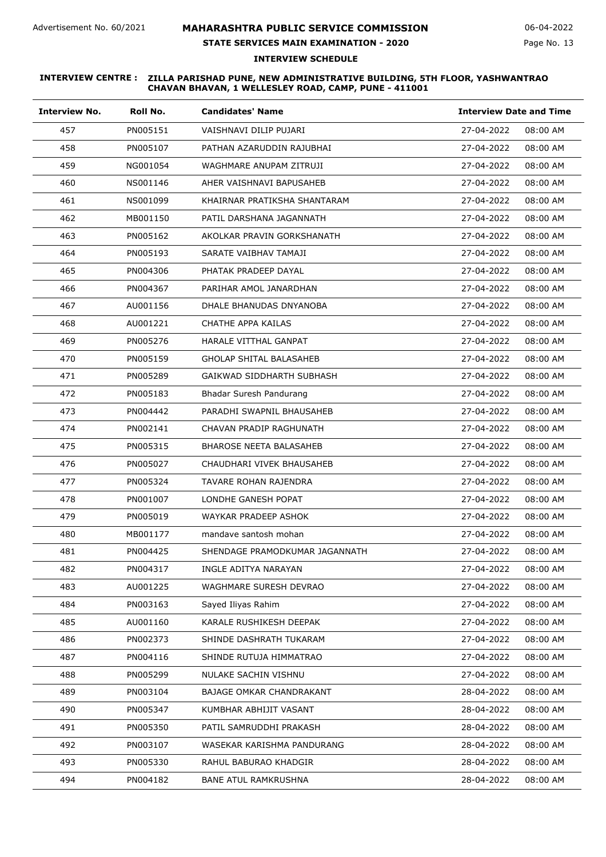# **STATE SERVICES MAIN EXAMINATION - 2020**

### **INTERVIEW SCHEDULE**

| <b>Interview No.</b> | Roll No. | <b>Candidates' Name</b>         | <b>Interview Date and Time</b> |
|----------------------|----------|---------------------------------|--------------------------------|
| 457                  | PN005151 | VAISHNAVI DILIP PUJARI          | 27-04-2022<br>08:00 AM         |
| 458                  | PN005107 | PATHAN AZARUDDIN RAJUBHAI       | 27-04-2022<br>08:00 AM         |
| 459                  | NG001054 | WAGHMARE ANUPAM ZITRUJI         | 27-04-2022<br>08:00 AM         |
| 460                  | NS001146 | AHER VAISHNAVI BAPUSAHEB        | 27-04-2022<br>08:00 AM         |
| 461                  | NS001099 | KHAIRNAR PRATIKSHA SHANTARAM    | 27-04-2022<br>08:00 AM         |
| 462                  | MB001150 | PATIL DARSHANA JAGANNATH        | 27-04-2022<br>08:00 AM         |
| 463                  | PN005162 | AKOLKAR PRAVIN GORKSHANATH      | 27-04-2022<br>08:00 AM         |
| 464                  | PN005193 | SARATE VAIBHAV TAMAJI           | 27-04-2022<br>08:00 AM         |
| 465                  | PN004306 | PHATAK PRADEEP DAYAL            | 27-04-2022<br>08:00 AM         |
| 466                  | PN004367 | PARIHAR AMOL JANARDHAN          | 27-04-2022<br>08:00 AM         |
| 467                  | AU001156 | DHALE BHANUDAS DNYANOBA         | 27-04-2022<br>08:00 AM         |
| 468                  | AU001221 | CHATHE APPA KAILAS              | 27-04-2022<br>08:00 AM         |
| 469                  | PN005276 | HARALE VITTHAL GANPAT           | 27-04-2022<br>08:00 AM         |
| 470                  | PN005159 | <b>GHOLAP SHITAL BALASAHEB</b>  | 27-04-2022<br>08:00 AM         |
| 471                  | PN005289 | GAIKWAD SIDDHARTH SUBHASH       | 27-04-2022<br>08:00 AM         |
| 472                  | PN005183 | Bhadar Suresh Pandurang         | 27-04-2022<br>08:00 AM         |
| 473                  | PN004442 | PARADHI SWAPNIL BHAUSAHEB       | 27-04-2022<br>08:00 AM         |
| 474                  | PN002141 | CHAVAN PRADIP RAGHUNATH         | 27-04-2022<br>08:00 AM         |
| 475                  | PN005315 | <b>BHAROSE NEETA BALASAHEB</b>  | 27-04-2022<br>08:00 AM         |
| 476                  | PN005027 | CHAUDHARI VIVEK BHAUSAHEB       | 27-04-2022<br>08:00 AM         |
| 477                  | PN005324 | TAVARE ROHAN RAJENDRA           | 27-04-2022<br>08:00 AM         |
| 478                  | PN001007 | LONDHE GANESH POPAT             | 27-04-2022<br>08:00 AM         |
| 479                  | PN005019 | WAYKAR PRADEEP ASHOK            | 27-04-2022<br>08:00 AM         |
| 480                  | MB001177 | mandave santosh mohan           | 27-04-2022<br>08:00 AM         |
| 481                  | PN004425 | SHENDAGE PRAMODKUMAR JAGANNATH  | 27-04-2022<br>08:00 AM         |
| 482                  | PN004317 | INGLE ADITYA NARAYAN            | 27-04-2022<br>08:00 AM         |
| 483                  | AU001225 | WAGHMARE SURESH DEVRAO          | 27-04-2022<br>08:00 AM         |
| 484                  | PN003163 | Sayed Iliyas Rahim              | 27-04-2022<br>08:00 AM         |
| 485                  | AU001160 | KARALE RUSHIKESH DEEPAK         | 27-04-2022<br>08:00 AM         |
| 486                  | PN002373 | SHINDE DASHRATH TUKARAM         | 27-04-2022<br>08:00 AM         |
| 487                  | PN004116 | SHINDE RUTUJA HIMMATRAO         | 27-04-2022<br>08:00 AM         |
| 488                  | PN005299 | NULAKE SACHIN VISHNU            | 27-04-2022<br>08:00 AM         |
| 489                  | PN003104 | <b>BAJAGE OMKAR CHANDRAKANT</b> | 28-04-2022<br>08:00 AM         |
| 490                  | PN005347 | KUMBHAR ABHIJIT VASANT          | 28-04-2022<br>08:00 AM         |
| 491                  | PN005350 | PATIL SAMRUDDHI PRAKASH         | 28-04-2022<br>08:00 AM         |
| 492                  | PN003107 | WASEKAR KARISHMA PANDURANG      | 28-04-2022<br>08:00 AM         |
| 493                  | PN005330 | RAHUL BABURAO KHADGIR           | 28-04-2022<br>08:00 AM         |
| 494                  | PN004182 | <b>BANE ATUL RAMKRUSHNA</b>     | 28-04-2022<br>08:00 AM         |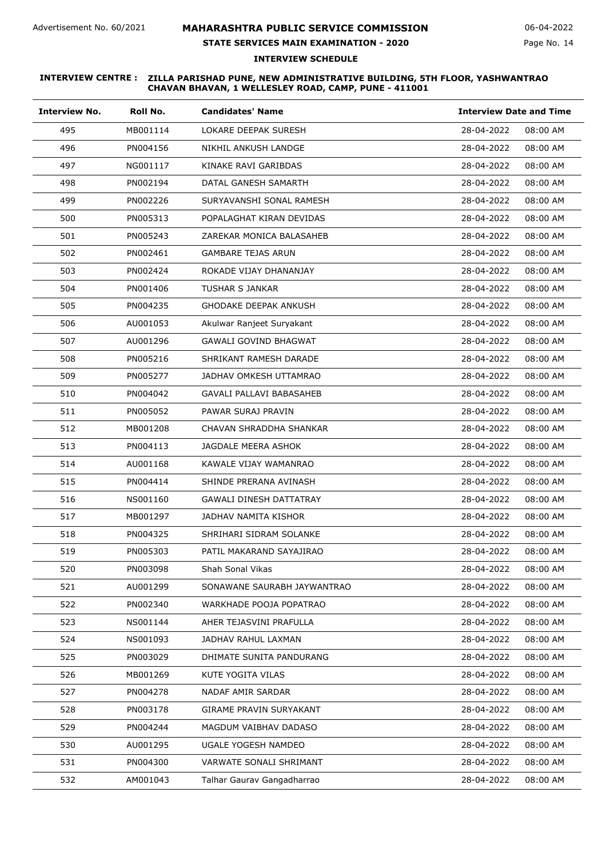# **STATE SERVICES MAIN EXAMINATION - 2020**

### **INTERVIEW SCHEDULE**

| <b>Interview No.</b> | Roll No. | <b>Candidates' Name</b>        | <b>Interview Date and Time</b> |
|----------------------|----------|--------------------------------|--------------------------------|
| 495                  | MB001114 | LOKARE DEEPAK SURESH           | 28-04-2022<br>08:00 AM         |
| 496                  | PN004156 | NIKHIL ANKUSH LANDGE           | 28-04-2022<br>08:00 AM         |
| 497                  | NG001117 | KINAKE RAVI GARIBDAS           | 28-04-2022<br>08:00 AM         |
| 498                  | PN002194 | DATAL GANESH SAMARTH           | 28-04-2022<br>08:00 AM         |
| 499                  | PN002226 | SURYAVANSHI SONAL RAMESH       | 28-04-2022<br>08:00 AM         |
| 500                  | PN005313 | POPALAGHAT KIRAN DEVIDAS       | 28-04-2022<br>08:00 AM         |
| 501                  | PN005243 | ZAREKAR MONICA BALASAHEB       | 28-04-2022<br>08:00 AM         |
| 502                  | PN002461 | <b>GAMBARE TEJAS ARUN</b>      | 28-04-2022<br>08:00 AM         |
| 503                  | PN002424 | ROKADE VIJAY DHANANJAY         | 28-04-2022<br>08:00 AM         |
| 504                  | PN001406 | TUSHAR S JANKAR                | 28-04-2022<br>08:00 AM         |
| 505                  | PN004235 | <b>GHODAKE DEEPAK ANKUSH</b>   | 28-04-2022<br>08:00 AM         |
| 506                  | AU001053 | Akulwar Ranjeet Suryakant      | 28-04-2022<br>08:00 AM         |
| 507                  | AU001296 | <b>GAWALI GOVIND BHAGWAT</b>   | 28-04-2022<br>08:00 AM         |
| 508                  | PN005216 | SHRIKANT RAMESH DARADE         | 28-04-2022<br>08:00 AM         |
| 509                  | PN005277 | JADHAV OMKESH UTTAMRAO         | 28-04-2022<br>08:00 AM         |
| 510                  | PN004042 | GAVALI PALLAVI BABASAHEB       | 28-04-2022<br>08:00 AM         |
| 511                  | PN005052 | PAWAR SURAJ PRAVIN             | 28-04-2022<br>08:00 AM         |
| 512                  | MB001208 | CHAVAN SHRADDHA SHANKAR        | 28-04-2022<br>08:00 AM         |
| 513                  | PN004113 | JAGDALE MEERA ASHOK            | 28-04-2022<br>08:00 AM         |
| 514                  | AU001168 | KAWALE VIJAY WAMANRAO          | 28-04-2022<br>08:00 AM         |
| 515                  | PN004414 | SHINDE PRERANA AVINASH         | 28-04-2022<br>08:00 AM         |
| 516                  | NS001160 | <b>GAWALI DINESH DATTATRAY</b> | 28-04-2022<br>08:00 AM         |
| 517                  | MB001297 | JADHAV NAMITA KISHOR           | 28-04-2022<br>08:00 AM         |
| 518                  | PN004325 | SHRIHARI SIDRAM SOLANKE        | 28-04-2022<br>08:00 AM         |
| 519                  | PN005303 | PATIL MAKARAND SAYAJIRAO       | 28-04-2022<br>08:00 AM         |
| 520                  | PN003098 | Shah Sonal Vikas               | 28-04-2022<br>08:00 AM         |
| 521                  | AU001299 | SONAWANE SAURABH JAYWANTRAO    | 28-04-2022<br>08:00 AM         |
| 522                  | PN002340 | WARKHADE POOJA POPATRAO        | 28-04-2022<br>08:00 AM         |
| 523                  | NS001144 | AHER TEJASVINI PRAFULLA        | 28-04-2022<br>08:00 AM         |
| 524                  | NS001093 | JADHAV RAHUL LAXMAN            | 28-04-2022<br>08:00 AM         |
| 525                  | PN003029 | DHIMATE SUNITA PANDURANG       | 28-04-2022<br>08:00 AM         |
| 526                  | MB001269 | KUTE YOGITA VILAS              | 28-04-2022<br>08:00 AM         |
| 527                  | PN004278 | NADAF AMIR SARDAR              | 28-04-2022<br>08:00 AM         |
| 528                  | PN003178 | GIRAME PRAVIN SURYAKANT        | 28-04-2022<br>08:00 AM         |
| 529                  | PN004244 | MAGDUM VAIBHAV DADASO          | 28-04-2022<br>08:00 AM         |
| 530                  | AU001295 | UGALE YOGESH NAMDEO            | 28-04-2022<br>08:00 AM         |
| 531                  | PN004300 | VARWATE SONALI SHRIMANT        | 28-04-2022<br>08:00 AM         |
| 532                  | AM001043 | Talhar Gaurav Gangadharrao     | 28-04-2022<br>08:00 AM         |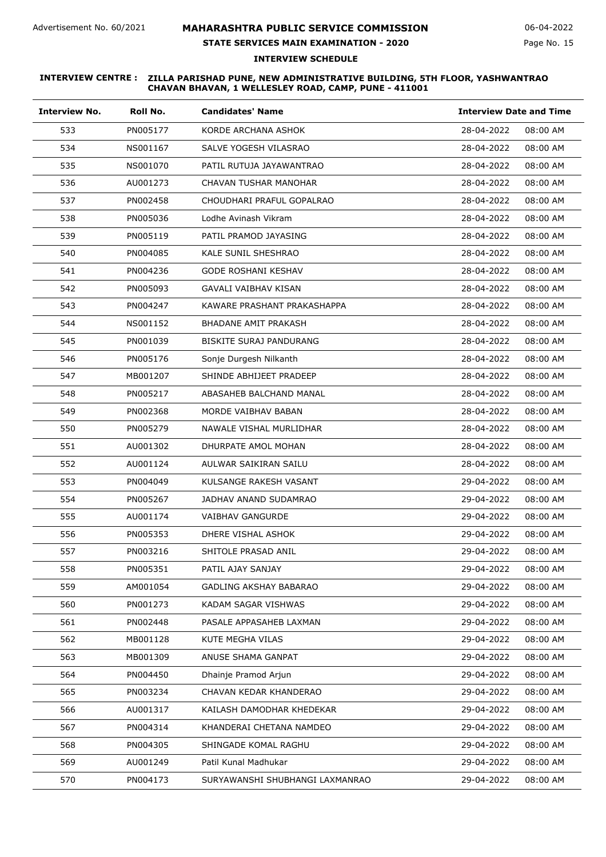# **STATE SERVICES MAIN EXAMINATION - 2020**

Page No. 15 06-04-2022

### **INTERVIEW SCHEDULE**

| <b>Interview No.</b> | Roll No. | <b>Candidates' Name</b>         | <b>Interview Date and Time</b> |
|----------------------|----------|---------------------------------|--------------------------------|
| 533                  | PN005177 | KORDE ARCHANA ASHOK             | 28-04-2022<br>08:00 AM         |
| 534                  | NS001167 | SALVE YOGESH VILASRAO           | 28-04-2022<br>08:00 AM         |
| 535                  | NS001070 | PATIL RUTUJA JAYAWANTRAO        | 28-04-2022<br>08:00 AM         |
| 536                  | AU001273 | CHAVAN TUSHAR MANOHAR           | 28-04-2022<br>08:00 AM         |
| 537                  | PN002458 | CHOUDHARI PRAFUL GOPALRAO       | 28-04-2022<br>08:00 AM         |
| 538                  | PN005036 | Lodhe Avinash Vikram            | 28-04-2022<br>08:00 AM         |
| 539                  | PN005119 | PATIL PRAMOD JAYASING           | 28-04-2022<br>08:00 AM         |
| 540                  | PN004085 | KALE SUNIL SHESHRAO             | 28-04-2022<br>08:00 AM         |
| 541                  | PN004236 | GODE ROSHANI KESHAV             | 28-04-2022<br>08:00 AM         |
| 542                  | PN005093 | GAVALI VAIBHAV KISAN            | 28-04-2022<br>08:00 AM         |
| 543                  | PN004247 | KAWARE PRASHANT PRAKASHAPPA     | 28-04-2022<br>08:00 AM         |
| 544                  | NS001152 | BHADANE AMIT PRAKASH            | 08:00 AM<br>28-04-2022         |
| 545                  | PN001039 | <b>BISKITE SURAJ PANDURANG</b>  | 08:00 AM<br>28-04-2022         |
| 546                  | PN005176 | Sonje Durgesh Nilkanth          | 28-04-2022<br>08:00 AM         |
| 547                  | MB001207 | SHINDE ABHIJEET PRADEEP         | 28-04-2022<br>08:00 AM         |
| 548                  | PN005217 | ABASAHEB BALCHAND MANAL         | 28-04-2022<br>08:00 AM         |
| 549                  | PN002368 | MORDE VAIBHAV BABAN             | 28-04-2022<br>08:00 AM         |
| 550                  | PN005279 | NAWALE VISHAL MURLIDHAR         | 28-04-2022<br>08:00 AM         |
| 551                  | AU001302 | DHURPATE AMOL MOHAN             | 28-04-2022<br>08:00 AM         |
| 552                  | AU001124 | AULWAR SAIKIRAN SAILU           | 28-04-2022<br>08:00 AM         |
| 553                  | PN004049 | KULSANGE RAKESH VASANT          | 29-04-2022<br>08:00 AM         |
| 554                  | PN005267 | JADHAV ANAND SUDAMRAO           | 29-04-2022<br>08:00 AM         |
| 555                  | AU001174 | <b>VAIBHAV GANGURDE</b>         | 29-04-2022<br>08:00 AM         |
| 556                  | PN005353 | DHERE VISHAL ASHOK              | 29-04-2022<br>08:00 AM         |
| 557                  | PN003216 | SHITOLE PRASAD ANIL             | 29-04-2022<br>08:00 AM         |
| 558                  | PN005351 | PATIL AJAY SANJAY               | 29-04-2022<br>08:00 AM         |
| 559                  | AM001054 | <b>GADLING AKSHAY BABARAO</b>   | 29-04-2022<br>08:00 AM         |
| 560                  | PN001273 | KADAM SAGAR VISHWAS             | 29-04-2022<br>08:00 AM         |
| 561                  | PN002448 | PASALE APPASAHEB LAXMAN         | 29-04-2022<br>08:00 AM         |
| 562                  | MB001128 | KUTE MEGHA VILAS                | 29-04-2022<br>08:00 AM         |
| 563                  | MB001309 | ANUSE SHAMA GANPAT              | 29-04-2022<br>08:00 AM         |
| 564                  | PN004450 | Dhainje Pramod Arjun            | 29-04-2022<br>08:00 AM         |
| 565                  | PN003234 | CHAVAN KEDAR KHANDERAO          | 29-04-2022<br>08:00 AM         |
| 566                  | AU001317 | KAILASH DAMODHAR KHEDEKAR       | 29-04-2022<br>08:00 AM         |
| 567                  | PN004314 | KHANDERAI CHETANA NAMDEO        | 29-04-2022<br>08:00 AM         |
| 568                  | PN004305 | SHINGADE KOMAL RAGHU            | 29-04-2022<br>08:00 AM         |
| 569                  | AU001249 | Patil Kunal Madhukar            | 29-04-2022<br>08:00 AM         |
| 570                  | PN004173 | SURYAWANSHI SHUBHANGI LAXMANRAO | 29-04-2022<br>08:00 AM         |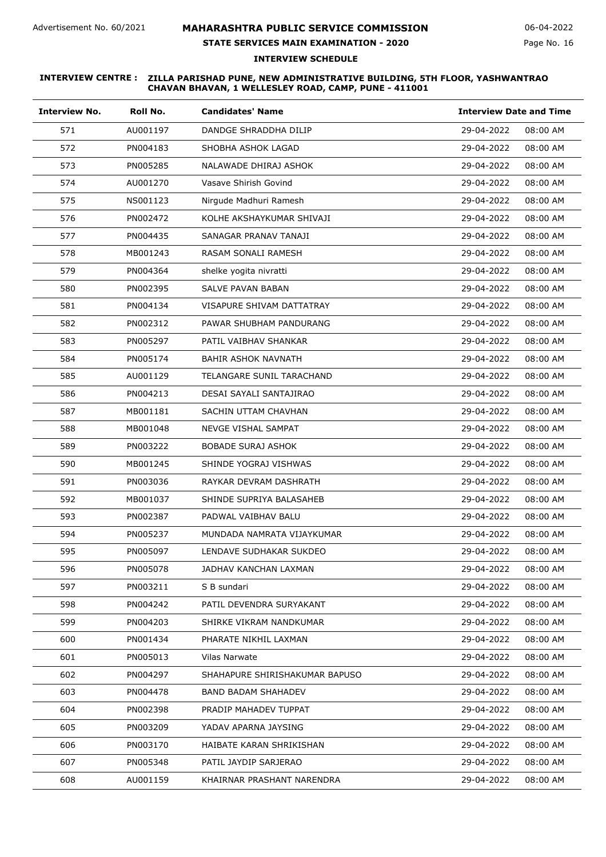# **STATE SERVICES MAIN EXAMINATION - 2020**

**INTERVIEW SCHEDULE**

| <b>Interview No.</b> | Roll No. | <b>Candidates' Name</b>          | <b>Interview Date and Time</b> |
|----------------------|----------|----------------------------------|--------------------------------|
| 571                  | AU001197 | DANDGE SHRADDHA DILIP            | 29-04-2022<br>08:00 AM         |
| 572                  | PN004183 | SHOBHA ASHOK LAGAD               | 29-04-2022<br>08:00 AM         |
| 573                  | PN005285 | NALAWADE DHIRAJ ASHOK            | 29-04-2022<br>08:00 AM         |
| 574                  | AU001270 | Vasave Shirish Govind            | 29-04-2022<br>08:00 AM         |
| 575                  | NS001123 | Nirgude Madhuri Ramesh           | 29-04-2022<br>08:00 AM         |
| 576                  | PN002472 | KOLHE AKSHAYKUMAR SHIVAJI        | 29-04-2022<br>08:00 AM         |
| 577                  | PN004435 | SANAGAR PRANAV TANAJI            | 29-04-2022<br>08:00 AM         |
| 578                  | MB001243 | RASAM SONALI RAMESH              | 29-04-2022<br>08:00 AM         |
| 579                  | PN004364 | shelke yogita nivratti           | 29-04-2022<br>08:00 AM         |
| 580                  | PN002395 | SALVE PAVAN BABAN                | 29-04-2022<br>08:00 AM         |
| 581                  | PN004134 | VISAPURE SHIVAM DATTATRAY        | 29-04-2022<br>08:00 AM         |
| 582                  | PN002312 | PAWAR SHUBHAM PANDURANG          | 29-04-2022<br>08:00 AM         |
| 583                  | PN005297 | PATIL VAIBHAV SHANKAR            | 29-04-2022<br>08:00 AM         |
| 584                  | PN005174 | BAHIR ASHOK NAVNATH              | 29-04-2022<br>08:00 AM         |
| 585                  | AU001129 | <b>TELANGARE SUNIL TARACHAND</b> | 29-04-2022<br>08:00 AM         |
| 586                  | PN004213 | DESAI SAYALI SANTAJIRAO          | 29-04-2022<br>08:00 AM         |
| 587                  | MB001181 | SACHIN UTTAM CHAVHAN             | 29-04-2022<br>08:00 AM         |
| 588                  | MB001048 | NEVGE VISHAL SAMPAT              | 29-04-2022<br>08:00 AM         |
| 589                  | PN003222 | <b>BOBADE SURAJ ASHOK</b>        | 29-04-2022<br>08:00 AM         |
| 590                  | MB001245 | SHINDE YOGRAJ VISHWAS            | 29-04-2022<br>08:00 AM         |
| 591                  | PN003036 | RAYKAR DEVRAM DASHRATH           | 29-04-2022<br>08:00 AM         |
| 592                  | MB001037 | SHINDE SUPRIYA BALASAHEB         | 29-04-2022<br>08:00 AM         |
| 593                  | PN002387 | PADWAL VAIBHAV BALU              | 29-04-2022<br>08:00 AM         |
| 594                  | PN005237 | MUNDADA NAMRATA VIJAYKUMAR       | 29-04-2022<br>08:00 AM         |
| 595                  | PN005097 | LENDAVE SUDHAKAR SUKDEO          | 29-04-2022<br>08:00 AM         |
| 596                  | PN005078 | JADHAV KANCHAN LAXMAN            | 29-04-2022<br>08:00 AM         |
| 597                  | PN003211 | S B sundari                      | 29-04-2022<br>08:00 AM         |
| 598                  | PN004242 | PATIL DEVENDRA SURYAKANT         | 29-04-2022<br>08:00 AM         |
| 599                  | PN004203 | SHIRKE VIKRAM NANDKUMAR          | 29-04-2022<br>08:00 AM         |
| 600                  | PN001434 | PHARATE NIKHIL LAXMAN            | 29-04-2022<br>08:00 AM         |
| 601                  | PN005013 | Vilas Narwate                    | 29-04-2022<br>08:00 AM         |
| 602                  | PN004297 | SHAHAPURE SHIRISHAKUMAR BAPUSO   | 29-04-2022<br>08:00 AM         |
| 603                  | PN004478 | <b>BAND BADAM SHAHADEV</b>       | 29-04-2022<br>08:00 AM         |
| 604                  | PN002398 | PRADIP MAHADEV TUPPAT            | 29-04-2022<br>08:00 AM         |
| 605                  | PN003209 | YADAV APARNA JAYSING             | 29-04-2022<br>08:00 AM         |
| 606                  | PN003170 | HAIBATE KARAN SHRIKISHAN         | 29-04-2022<br>08:00 AM         |
| 607                  | PN005348 | PATIL JAYDIP SARJERAO            | 29-04-2022<br>08:00 AM         |
| 608                  | AU001159 | KHAIRNAR PRASHANT NARENDRA       | 29-04-2022<br>08:00 AM         |